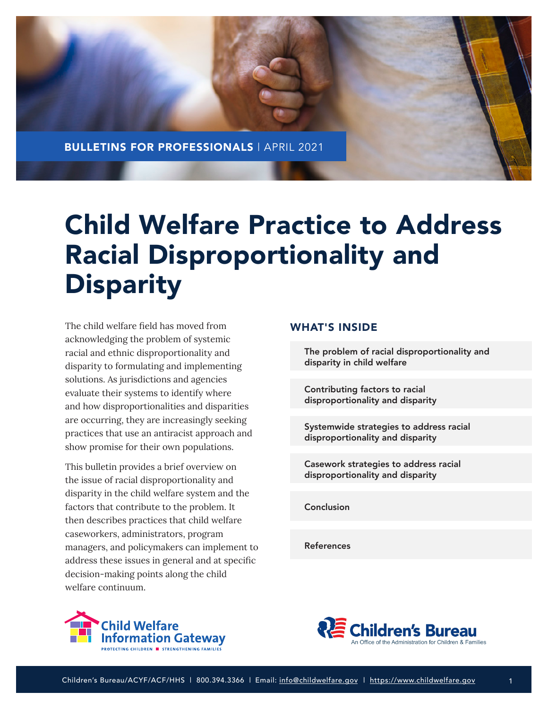

# Child Welfare Practice to Address Racial Disproportionality and **Disparity**

The child welfare field has moved from acknowledging the problem of systemic racial and ethnic disproportionality and disparity to formulating and implementing solutions. As jurisdictions and agencies evaluate their systems to identify where and how disproportionalities and disparities are occurring, they are increasingly seeking practices that use an antiracist approach and show promise for their own populations.

This bulletin provides a brief overview on the issue of racial disproportionality and disparity in the child welfare system and the factors that contribute to the problem. It then describes practices that child welfare caseworkers, administrators, program managers, and policymakers can implement to address these issues in general and at specific decision-making points along the child welfare continuum.

## WHAT'S INSIDE

[The problem of racial disproportionality and](#page-2-0) disparity in child welfare

Contributing factors to racial [disproportionality and disparity](#page-3-0)

[Systemwide strategies to address racial](#page-7-0)  disproportionality and disparity

[Casework strategies to address racial](#page-12-0) disproportionality and disparity

[Conclusion](#page-22-0)

[References](#page-22-0)



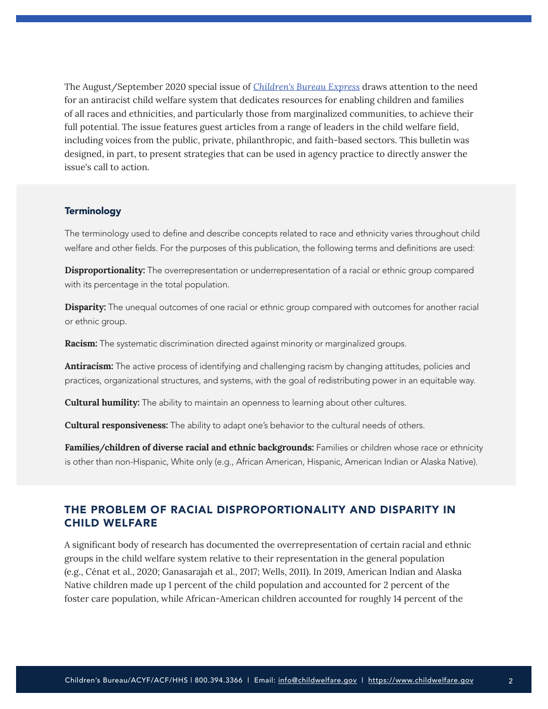The August/September 2020 special issue of *[Children's Bureau Express](https://cbexpress.acf.hhs.gov/index.cfm?event=website.viewHomepage&issueID=218)* draws attention to the need for an antiracist child welfare system that dedicates resources for enabling children and families of all races and ethnicities, and particularly those from marginalized communities, to achieve their full potential. The issue features guest articles from a range of leaders in the child welfare field, including voices from the public, private, philanthropic, and faith-based sectors. This bulletin was designed, in part, to present strategies that can be used in agency practice to directly answer the issue's call to action.

#### **Terminology**

The terminology used to define and describe concepts related to race and ethnicity varies throughout child welfare and other fields. For the purposes of this publication, the following terms and definitions are used:

**Disproportionality:** The overrepresentation or underrepresentation of a racial or ethnic group compared with its percentage in the total population.

**Disparity:** The unequal outcomes of one racial or ethnic group compared with outcomes for another racial or ethnic group.

**Racism:** The systematic discrimination directed against minority or marginalized groups.

**Antiracism:** The active process of identifying and challenging racism by changing attitudes, policies and practices, organizational structures, and systems, with the goal of redistributing power in an equitable way.

**Cultural humility:** The ability to maintain an openness to learning about other cultures.

**Cultural responsiveness:** The ability to adapt one's behavior to the cultural needs of others.

**Families/children of diverse racial and ethnic backgrounds:** Families or children whose race or ethnicity is other than non-Hispanic, White only (e.g., African American, Hispanic, American Indian or Alaska Native).

# THE PROBLEM OF RACIAL DISPROPORTIONALITY AND DISPARITY IN CHILD WELFARE

A significant body of research has documented the overrepresentation of certain racial and ethnic groups in the child welfare system relative to their representation in the general population (e.g., Cénat et al., 2020; Ganasarajah et al., 2017; Wells, 2011). In 2019, American Indian and Alaska Native children made up 1 percent of the child population and accounted for 2 percent of the foster care population, while African-American children accounted for roughly 14 percent of the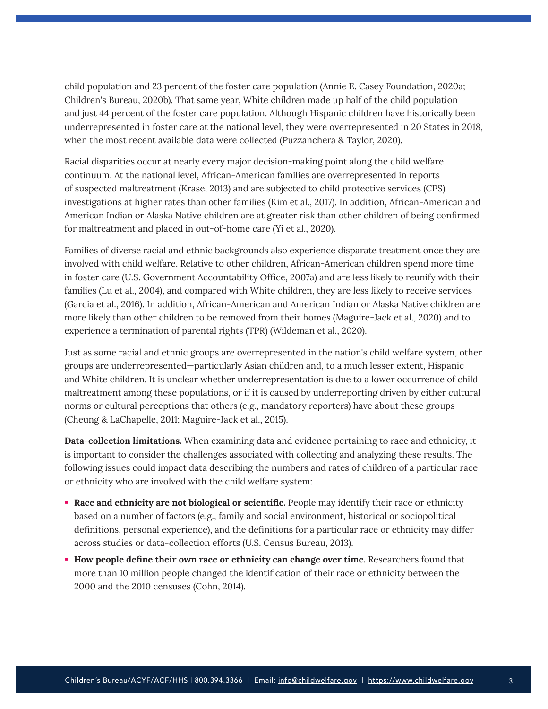<span id="page-2-0"></span>child population and 23 percent of the foster care population (Annie E. Casey Foundation, 2020a; Children's Bureau, 2020b). That same year, White children made up half of the child population and just 44 percent of the foster care population. Although Hispanic children have historically been underrepresented in foster care at the national level, they were overrepresented in 20 States in 2018, when the most recent available data were collected (Puzzanchera & Taylor, 2020).

Racial disparities occur at nearly every major decision-making point along the child welfare continuum. At the national level, African-American families are overrepresented in reports of suspected maltreatment (Krase, 2013) and are subjected to child protective services (CPS) investigations at higher rates than other families (Kim et al., 2017). In addition, African-American and American Indian or Alaska Native children are at greater risk than other children of being confirmed for maltreatment and placed in out-of-home care (Yi et al., 2020).

Families of diverse racial and ethnic backgrounds also experience disparate treatment once they are involved with child welfare. Relative to other children, African-American children spend more time in foster care (U.S. Government Accountability Office, 2007a) and are less likely to reunify with their families (Lu et al., 2004), and compared with White children, they are less likely to receive services (Garcia et al., 2016). In addition, African-American and American Indian or Alaska Native children are more likely than other children to be removed from their homes (Maguire-Jack et al., 2020) and to experience a termination of parental rights (TPR) (Wildeman et al., 2020).

Just as some racial and ethnic groups are overrepresented in the nation's child welfare system, other groups are underrepresented—particularly Asian children and, to a much lesser extent, Hispanic and White children. It is unclear whether underrepresentation is due to a lower occurrence of child maltreatment among these populations, or if it is caused by underreporting driven by either cultural norms or cultural perceptions that others (e.g., mandatory reporters) have about these groups (Cheung & LaChapelle, 2011; Maguire-Jack et al., 2015).

**Data-collection limitations.** When examining data and evidence pertaining to race and ethnicity, it is important to consider the challenges associated with collecting and analyzing these results. The following issues could impact data describing the numbers and rates of children of a particular race or ethnicity who are involved with the child welfare system:

- **Race and ethnicity are not biological or scientific.** People may identify their race or ethnicity based on a number of factors (e.g., family and social environment, historical or sociopolitical definitions, personal experience), and the definitions for a particular race or ethnicity may differ across studies or data-collection efforts (U.S. Census Bureau, 2013).
- **How people define their own race or ethnicity can change over time.** Researchers found that more than 10 million people changed the identification of their race or ethnicity between the 2000 and the 2010 censuses (Cohn, 2014).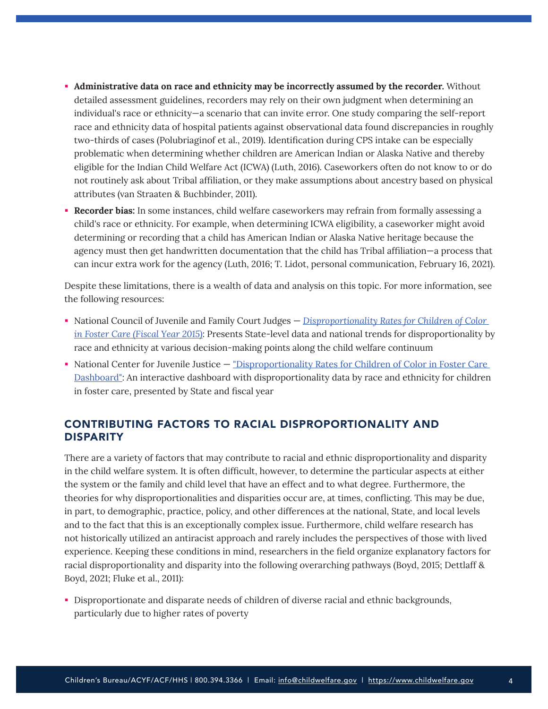- <span id="page-3-0"></span> **Administrative data on race and ethnicity may be incorrectly assumed by the recorder.** Without detailed assessment guidelines, recorders may rely on their own judgment when determining an individual's race or ethnicity—a scenario that can invite error. One study comparing the self-report race and ethnicity data of hospital patients against observational data found discrepancies in roughly two-thirds of cases (Polubriaginof et al., 2019). Identification during CPS intake can be especially problematic when determining whether children are American Indian or Alaska Native and thereby eligible for the Indian Child Welfare Act (ICWA) (Luth, 2016). Caseworkers often do not know to or do not routinely ask about Tribal affiliation, or they make assumptions about ancestry based on physical attributes (van Straaten & Buchbinder, 2011).
- **Recorder bias:** In some instances, child welfare caseworkers may refrain from formally assessing a child's race or ethnicity. For example, when determining ICWA eligibility, a caseworker might avoid determining or recording that a child has American Indian or Alaska Native heritage because the agency must then get handwritten documentation that the child has Tribal affiliation—a process that can incur extra work for the agency (Luth, 2016; T. Lidot, personal communication, February 16, 2021).

Despite these limitations, there is a wealth of data and analysis on this topic. For more information, see the following resources:

- National Council of Juvenile and Family Court Judges *[Disproportionality Rates for Children of Color](https://www.ncjfcj.org/wp-content/uploads/2017/09/NCJFCJ-Disproportionality-TAB-2015_0.pdf)  [in Foster Care](https://www.ncjfcj.org/wp-content/uploads/2017/09/NCJFCJ-Disproportionality-TAB-2015_0.pdf) (Fiscal Year 2015)*: Presents State-level data and national trends for disproportionality by race and ethnicity at various decision-making points along the child welfare continuum
- National Center for Juvenile Justice "Disproportionality Rates for Children of Color in Foster Care [Dashboard](https://ncjj.org/AFCARS/Disproportionality_Dashboard.aspx)": An interactive dashboard with disproportionality data by race and ethnicity for children in foster care, presented by State and fiscal year

# CONTRIBUTING FACTORS TO RACIAL DISPROPORTIONALITY AND **DISPARITY**

There are a variety of factors that may contribute to racial and ethnic disproportionality and disparity in the child welfare system. It is often difficult, however, to determine the particular aspects at either the system or the family and child level that have an effect and to what degree. Furthermore, the theories for why disproportionalities and disparities occur are, at times, conflicting. This may be due, in part, to demographic, practice, policy, and other differences at the national, State, and local levels and to the fact that this is an exceptionally complex issue. Furthermore, child welfare research has not historically utilized an antiracist approach and rarely includes the perspectives of those with lived experience. Keeping these conditions in mind, researchers in the field organize explanatory factors for racial disproportionality and disparity into the following overarching pathways (Boyd, 2015; Dettlaff & Boyd, 2021; Fluke et al., 2011):

Disproportionate and disparate needs of children of diverse racial and ethnic backgrounds, particularly due to higher rates of poverty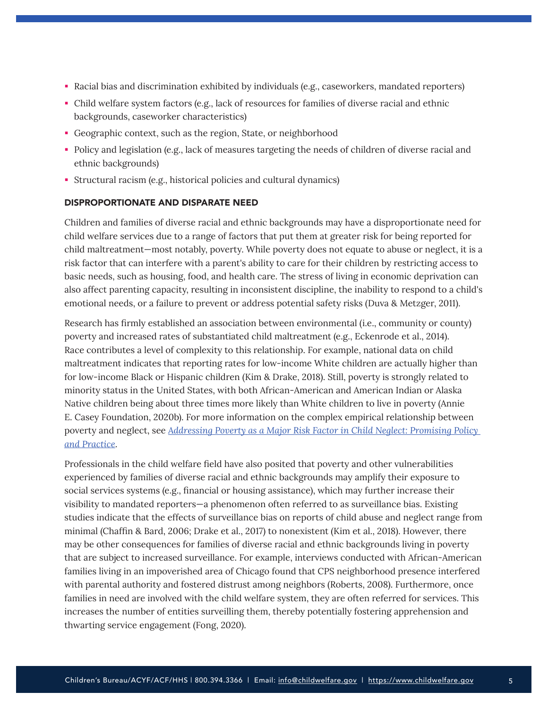- Racial bias and discrimination exhibited by individuals (e.g., caseworkers, mandated reporters)
- Child welfare system factors (e.g., lack of resources for families of diverse racial and ethnic backgrounds, caseworker characteristics)
- Geographic context, such as the region, State, or neighborhood
- Policy and legislation (e.g., lack of measures targeting the needs of children of diverse racial and ethnic backgrounds)
- Structural racism (e.g., historical policies and cultural dynamics)

#### DISPROPORTIONATE AND DISPARATE NEED

Children and families of diverse racial and ethnic backgrounds may have a disproportionate need for child welfare services due to a range of factors that put them at greater risk for being reported for child maltreatment—most notably, poverty. While poverty does not equate to abuse or neglect, it is a risk factor that can interfere with a parent's ability to care for their children by restricting access to basic needs, such as housing, food, and health care. The stress of living in economic deprivation can also affect parenting capacity, resulting in inconsistent discipline, the inability to respond to a child's emotional needs, or a failure to prevent or address potential safety risks (Duva & Metzger, 2011).

Research has firmly established an association between environmental (i.e., community or county) poverty and increased rates of substantiated child maltreatment (e.g., Eckenrode et al., 2014). Race contributes a level of complexity to this relationship. For example, national data on child maltreatment indicates that reporting rates for low-income White children are actually higher than for low-income Black or Hispanic children (Kim & Drake, 2018). Still, poverty is strongly related to minority status in the United States, with both African-American and American Indian or Alaska Native children being about three times more likely than White children to live in poverty (Annie E. Casey Foundation, 2020b). For more information on the complex empirical relationship between poverty and neglect, see *[Addressing Poverty as a Major Risk Factor in Child Neglect: Promising Policy](https://childhub.org/sites/default/files/addressing-poverty-as-a-major-risk-factor-in-child.pdf)  [and Practice](https://childhub.org/sites/default/files/addressing-poverty-as-a-major-risk-factor-in-child.pdf)*.

Professionals in the child welfare field have also posited that poverty and other vulnerabilities experienced by families of diverse racial and ethnic backgrounds may amplify their exposure to social services systems (e.g., financial or housing assistance), which may further increase their visibility to mandated reporters—a phenomenon often referred to as surveillance bias. Existing studies indicate that the effects of surveillance bias on reports of child abuse and neglect range from minimal (Chaffin & Bard, 2006; Drake et al., 2017) to nonexistent (Kim et al., 2018). However, there may be other consequences for families of diverse racial and ethnic backgrounds living in poverty that are subject to increased surveillance. For example, interviews conducted with African-American families living in an impoverished area of Chicago found that CPS neighborhood presence interfered with parental authority and fostered distrust among neighbors (Roberts, 2008). Furthermore, once families in need are involved with the child welfare system, they are often referred for services. This increases the number of entities surveilling them, thereby potentially fostering apprehension and thwarting service engagement (Fong, 2020).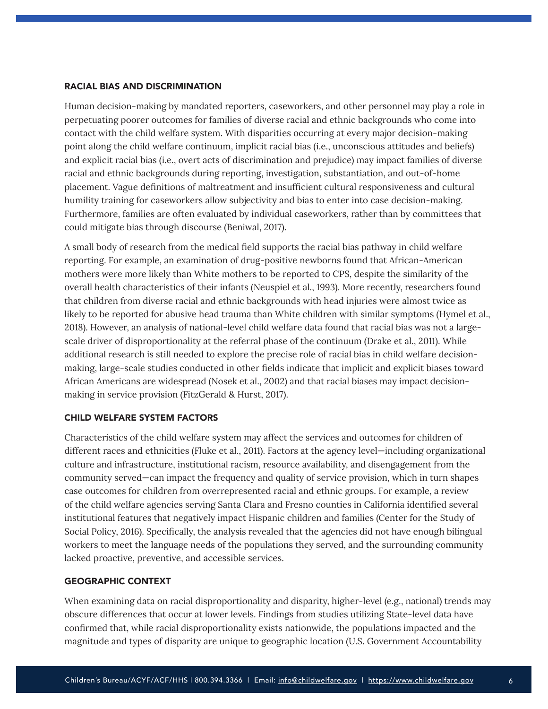#### RACIAL BIAS AND DISCRIMINATION

Human decision-making by mandated reporters, caseworkers, and other personnel may play a role in perpetuating poorer outcomes for families of diverse racial and ethnic backgrounds who come into contact with the child welfare system. With disparities occurring at every major decision-making point along the child welfare continuum, implicit racial bias (i.e., unconscious attitudes and beliefs) and explicit racial bias (i.e., overt acts of discrimination and prejudice) may impact families of diverse racial and ethnic backgrounds during reporting, investigation, substantiation, and out-of-home placement. Vague definitions of maltreatment and insufficient cultural responsiveness and cultural humility training for caseworkers allow subjectivity and bias to enter into case decision-making. Furthermore, families are often evaluated by individual caseworkers, rather than by committees that could mitigate bias through discourse (Beniwal, 2017).

A small body of research from the medical field supports the racial bias pathway in child welfare reporting. For example, an examination of drug-positive newborns found that African-American mothers were more likely than White mothers to be reported to CPS, despite the similarity of the overall health characteristics of their infants (Neuspiel et al., 1993). More recently, researchers found that children from diverse racial and ethnic backgrounds with head injuries were almost twice as likely to be reported for abusive head trauma than White children with similar symptoms (Hymel et al., 2018). However, an analysis of national-level child welfare data found that racial bias was not a largescale driver of disproportionality at the referral phase of the continuum (Drake et al., 2011). While additional research is still needed to explore the precise role of racial bias in child welfare decisionmaking, large-scale studies conducted in other fields indicate that implicit and explicit biases toward African Americans are widespread (Nosek et al., 2002) and that racial biases may impact decisionmaking in service provision (FitzGerald & Hurst, 2017).

#### CHILD WELFARE SYSTEM FACTORS

Characteristics of the child welfare system may affect the services and outcomes for children of different races and ethnicities (Fluke et al., 2011). Factors at the agency level—including organizational culture and infrastructure, institutional racism, resource availability, and disengagement from the community served—can impact the frequency and quality of service provision, which in turn shapes case outcomes for children from overrepresented racial and ethnic groups. For example, a review of the child welfare agencies serving Santa Clara and Fresno counties in California identified several institutional features that negatively impact Hispanic children and families (Center for the Study of Social Policy, 2016). Specifically, the analysis revealed that the agencies did not have enough bilingual workers to meet the language needs of the populations they served, and the surrounding community lacked proactive, preventive, and accessible services.

#### GEOGRAPHIC CONTEXT

When examining data on racial disproportionality and disparity, higher-level (e.g., national) trends may obscure differences that occur at lower levels. Findings from studies utilizing State-level data have confirmed that, while racial disproportionality exists nationwide, the populations impacted and the magnitude and types of disparity are unique to geographic location (U.S. Government Accountability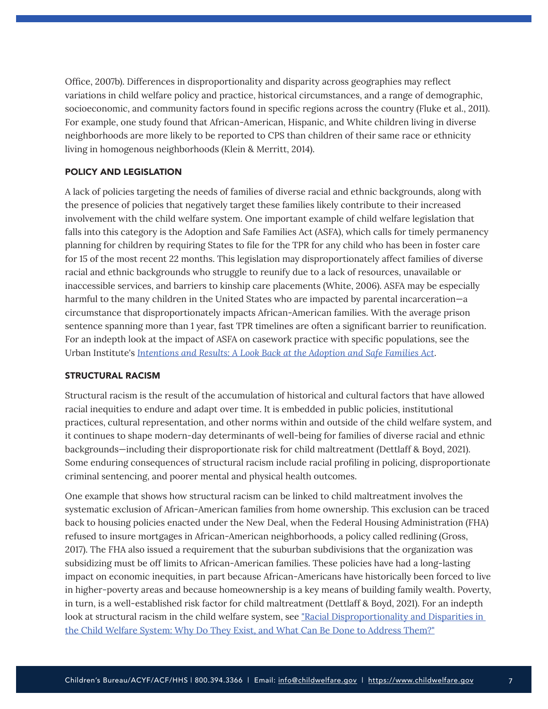Office, 2007b). Differences in disproportionality and disparity across geographies may reflect variations in child welfare policy and practice, historical circumstances, and a range of demographic, socioeconomic, and community factors found in specific regions across the country (Fluke et al., 2011). For example, one study found that African-American, Hispanic, and White children living in diverse neighborhoods are more likely to be reported to CPS than children of their same race or ethnicity living in homogenous neighborhoods (Klein & Merritt, 2014).

#### POLICY AND LEGISLATION

A lack of policies targeting the needs of families of diverse racial and ethnic backgrounds, along with the presence of policies that negatively target these families likely contribute to their increased involvement with the child welfare system. One important example of child welfare legislation that falls into this category is the Adoption and Safe Families Act (ASFA), which calls for timely permanency planning for children by requiring States to file for the TPR for any child who has been in foster care for 15 of the most recent 22 months. This legislation may disproportionately affect families of diverse racial and ethnic backgrounds who struggle to reunify due to a lack of resources, unavailable or inaccessible services, and barriers to kinship care placements (White, 2006). ASFA may be especially harmful to the many children in the United States who are impacted by parental incarceration—a circumstance that disproportionately impacts African-American families. With the average prison sentence spanning more than 1 year, fast TPR timelines are often a significant barrier to reunification. For an indepth look at the impact of ASFA on casework practice with specific populations, see the Urban Institute's *[Intentions and Results: A Look Back at the Adoption and Safe Families Act](https://affcny.org/wp-content/uploads/IntentionsandResults.pdf)*.

#### STRUCTURAL RACISM

Structural racism is the result of the accumulation of historical and cultural factors that have allowed racial inequities to endure and adapt over time. It is embedded in public policies, institutional practices, cultural representation, and other norms within and outside of the child welfare system, and it continues to shape modern-day determinants of well-being for families of diverse racial and ethnic backgrounds—including their disproportionate risk for child maltreatment (Dettlaff & Boyd, 2021). Some enduring consequences of structural racism include racial profiling in policing, disproportionate criminal sentencing, and poorer mental and physical health outcomes.

One example that shows how structural racism can be linked to child maltreatment involves the systematic exclusion of African-American families from home ownership. This exclusion can be traced back to housing policies enacted under the New Deal, when the Federal Housing Administration (FHA) refused to insure mortgages in African-American neighborhoods, a policy called redlining (Gross, 2017). The FHA also issued a requirement that the suburban subdivisions that the organization was subsidizing must be off limits to African-American families. These policies have had a long-lasting impact on economic inequities, in part because African-Americans have historically been forced to live in higher-poverty areas and because homeownership is a key means of building family wealth. Poverty, in turn, is a well-established risk factor for child maltreatment (Dettlaff & Boyd, 2021). For an indepth look at structural racism in the child welfare system, see "[Racial Disproportionality and Disparities in](https://journals.sagepub.com/doi/full/10.1177/0002716220980329)  [the Child Welfare System: Why Do They Exist, and What Can Be Done to Address Them?](https://journals.sagepub.com/doi/full/10.1177/0002716220980329)"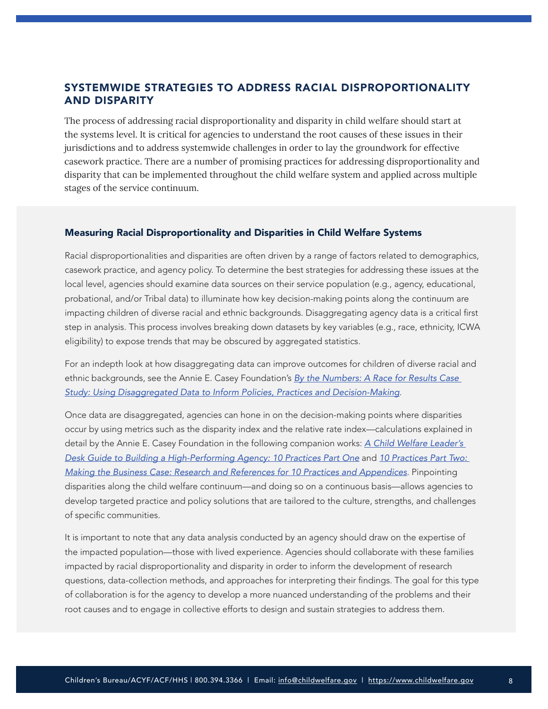# <span id="page-7-0"></span>SYSTEMWIDE STRATEGIES TO ADDRESS RACIAL DISPROPORTIONALITY AND DISPARITY

The process of addressing racial disproportionality and disparity in child welfare should start at the systems level. It is critical for agencies to understand the root causes of these issues in their jurisdictions and to address systemwide challenges in order to lay the groundwork for effective casework practice. There are a number of promising practices for addressing disproportionality and disparity that can be implemented throughout the child welfare system and applied across multiple stages of the service continuum.

#### Measuring Racial Disproportionality and Disparities in Child Welfare Systems

Racial disproportionalities and disparities are often driven by a range of factors related to demographics, casework practice, and agency policy. To determine the best strategies for addressing these issues at the local level, agencies should examine data sources on their service population (e.g., agency, educational, probational, and/or Tribal data) to illuminate how key decision-making points along the continuum are impacting children of diverse racial and ethnic backgrounds. Disaggregating agency data is a critical first step in analysis. This process involves breaking down datasets by key variables (e.g., race, ethnicity, ICWA eligibility) to expose trends that may be obscured by aggregated statistics.

For an indepth look at how disaggregating data can improve outcomes for children of diverse racial and ethnic backgrounds, see the Annie E. Casey Foundation's *[By the Numbers: A Race for Results Case](https://www.aecf.org/resources/a-race-for-results-case-study-2/)  [Study: Using Disaggregated Data to Inform Policies, Practices and Decision-Making](https://www.aecf.org/resources/a-race-for-results-case-study-2/)*.

Once data are disaggregated, agencies can hone in on the decision-making points where disparities occur by using metrics such as the disparity index and the relative rate index—calculations explained in detail by the Annie E. Casey Foundation in the following companion works: *[A Child Welfare Leader's](https://www.aecf.org/resources/10-practices-part-one/)  [Desk Guide to Building a High-Performing Agency: 10 Practices Part One](https://www.aecf.org/resources/10-practices-part-one/)* and *[10 Practices Part Two:](https://www.aecf.org/resources/10-practices-part-two/)  [Making the Business Case: Research and References for 10 Practices and Appendices](https://www.aecf.org/resources/10-practices-part-two/)*. Pinpointing disparities along the child welfare continuum—and doing so on a continuous basis—allows agencies to develop targeted practice and policy solutions that are tailored to the culture, strengths, and challenges of specific communities.

It is important to note that any data analysis conducted by an agency should draw on the expertise of the impacted population—those with lived experience. Agencies should collaborate with these families impacted by racial disproportionality and disparity in order to inform the development of research questions, data-collection methods, and approaches for interpreting their findings. The goal for this type of collaboration is for the agency to develop a more nuanced understanding of the problems and their root causes and to engage in collective efforts to design and sustain strategies to address them.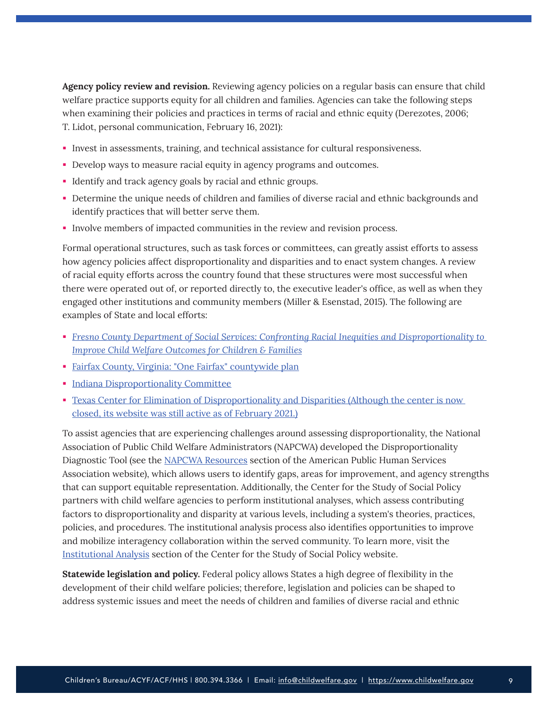**Agency policy review and revision.** Reviewing agency policies on a regular basis can ensure that child welfare practice supports equity for all children and families. Agencies can take the following steps when examining their policies and practices in terms of racial and ethnic equity (Derezotes, 2006; T. Lidot, personal communication, February 16, 2021):

- Invest in assessments, training, and technical assistance for cultural responsiveness.
- Develop ways to measure racial equity in agency programs and outcomes.
- Identify and track agency goals by racial and ethnic groups.
- Determine the unique needs of children and families of diverse racial and ethnic backgrounds and identify practices that will better serve them.
- Involve members of impacted communities in the review and revision process.

Formal operational structures, such as task forces or committees, can greatly assist efforts to assess how agency policies affect disproportionality and disparities and to enact system changes. A review of racial equity efforts across the country found that these structures were most successful when there were operated out of, or reported directly to, the executive leader's office, as well as when they engaged other institutions and community members (Miller & Esenstad, 2015). The following are examples of State and local efforts:

- *[Fresno County Department of Social Services: Confronting Racial Inequities and Disproportionality to](https://cssp.org/wp-content/uploads/2018/08/IA-Fresno-Case-Study-web.pdf)  [Improve Child Welfare Outcomes for Children & Families](https://cssp.org/wp-content/uploads/2018/08/IA-Fresno-Case-Study-web.pdf)*
- [Fairfax County, Virginia:](https://www.fairfaxcounty.gov/topics/one-fairfax) "One Fairfax" countywide plan
- **[Indiana Disproportionality Committee](https://indianadisproportionalitycommittee.weebly.com/)**
- Texas Center for Elimination of Disproportionality and Disparities (Although the center is now [closed, its website was still active as of February 2021.\)](https://www.texasdispro.com/the-center.html)

To assist agencies that are experiencing challenges around assessing disproportionality, the National Association of Public Child Welfare Administrators (NAPCWA) developed the Disproportionality Diagnostic Tool (see the [NAPCWA Resources](https://aphsa.org/NAPCWA/Resources.aspx?WebsiteKey=3907a981-7e36-4bae-941f-260715e6e50d) section of the American Public Human Services Association website), which allows users to identify gaps, areas for improvement, and agency strengths that can support equitable representation. Additionally, the Center for the Study of Social Policy partners with child welfare agencies to perform institutional analyses, which assess contributing factors to disproportionality and disparity at various levels, including a system's theories, practices, policies, and procedures. The institutional analysis process also identifies opportunities to improve and mobilize interagency collaboration within the served community. To learn more, visit the [Institutional Analysis](https://cssp.org/our-work/project/institutional-analysis/) section of the Center for the Study of Social Policy website.

**Statewide legislation and policy.** Federal policy allows States a high degree of flexibility in the development of their child welfare policies; therefore, legislation and policies can be shaped to address systemic issues and meet the needs of children and families of diverse racial and ethnic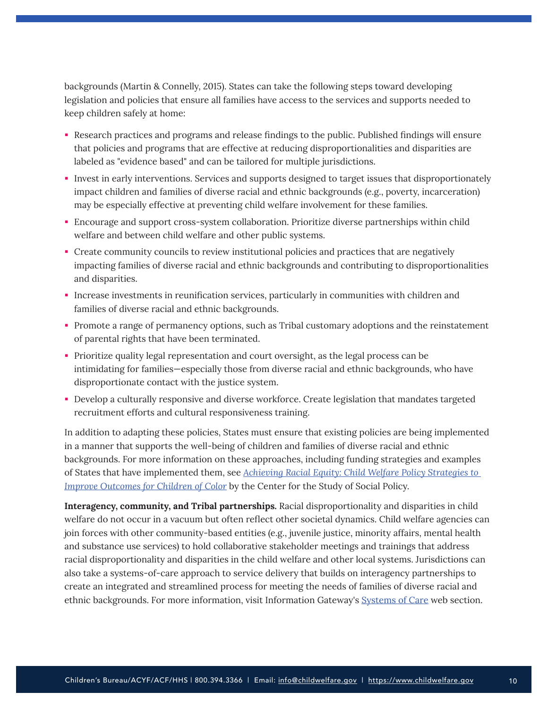backgrounds (Martin & Connelly, 2015). States can take the following steps toward developing legislation and policies that ensure all families have access to the services and supports needed to keep children safely at home:

- Research practices and programs and release findings to the public. Published findings will ensure that policies and programs that are effective at reducing disproportionalities and disparities are labeled as "evidence based" and can be tailored for multiple jurisdictions.
- Invest in early interventions. Services and supports designed to target issues that disproportionately impact children and families of diverse racial and ethnic backgrounds (e.g., poverty, incarceration) may be especially effective at preventing child welfare involvement for these families.
- Encourage and support cross-system collaboration. Prioritize diverse partnerships within child welfare and between child welfare and other public systems.
- Create community councils to review institutional policies and practices that are negatively impacting families of diverse racial and ethnic backgrounds and contributing to disproportionalities and disparities.
- Increase investments in reunification services, particularly in communities with children and families of diverse racial and ethnic backgrounds.
- Promote a range of permanency options, such as Tribal customary adoptions and the reinstatement of parental rights that have been terminated.
- Prioritize quality legal representation and court oversight, as the legal process can be intimidating for families—especially those from diverse racial and ethnic backgrounds, who have disproportionate contact with the justice system.
- Develop a culturally responsive and diverse workforce. Create legislation that mandates targeted recruitment efforts and cultural responsiveness training.

In addition to adapting these policies, States must ensure that existing policies are being implemented in a manner that supports the well-being of children and families of diverse racial and ethnic backgrounds. For more information on these approaches, including funding strategies and examples of States that have implemented them, see *[Achieving Racial Equity: Child Welfare Policy Strategies to](https://cssp.org/wp-content/uploads/2018/08/achieving-racial-equity-child-welfare-policy-strategies-improve-outcomes-children-color.pdf)  [Improve Outcomes for Children of Color](https://cssp.org/wp-content/uploads/2018/08/achieving-racial-equity-child-welfare-policy-strategies-improve-outcomes-children-color.pdf)* by the Center for the Study of Social Policy.

**Interagency, community, and Tribal partnerships.** Racial disproportionality and disparities in child welfare do not occur in a vacuum but often reflect other societal dynamics. Child welfare agencies can join forces with other community-based entities (e.g., juvenile justice, minority affairs, mental health and substance use services) to hold collaborative stakeholder meetings and trainings that address racial disproportionality and disparities in the child welfare and other local systems. Jurisdictions can also take a systems-of-care approach to service delivery that builds on interagency partnerships to create an integrated and streamlined process for meeting the needs of families of diverse racial and ethnic backgrounds. For more information, visit Information Gateway's [Systems of Care](https://www.childwelfare.gov/topics/management/reform/soc/) web section.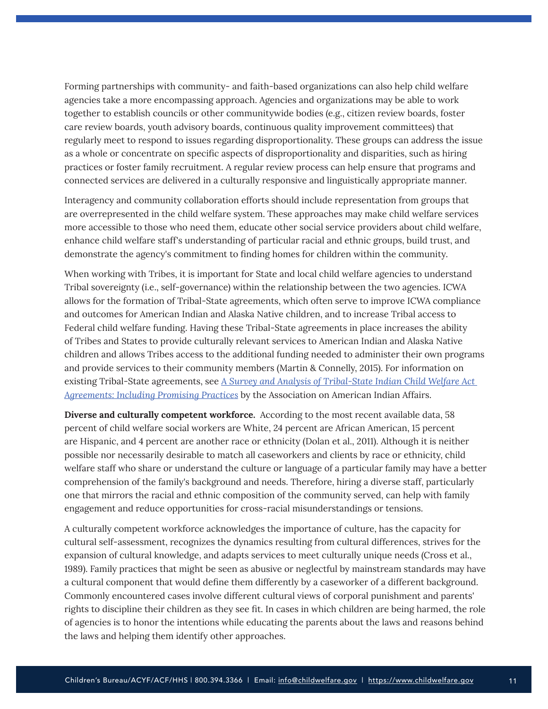Forming partnerships with community- and faith-based organizations can also help child welfare agencies take a more encompassing approach. Agencies and organizations may be able to work together to establish councils or other communitywide bodies (e.g., citizen review boards, foster care review boards, youth advisory boards, continuous quality improvement committees) that regularly meet to respond to issues regarding disproportionality. These groups can address the issue as a whole or concentrate on specific aspects of disproportionality and disparities, such as hiring practices or foster family recruitment. A regular review process can help ensure that programs and connected services are delivered in a culturally responsive and linguistically appropriate manner.

Interagency and community collaboration efforts should include representation from groups that are overrepresented in the child welfare system. These approaches may make child welfare services more accessible to those who need them, educate other social service providers about child welfare, enhance child welfare staff's understanding of particular racial and ethnic groups, build trust, and demonstrate the agency's commitment to finding homes for children within the community.

When working with Tribes, it is important for State and local child welfare agencies to understand Tribal sovereignty (i.e., self-governance) within the relationship between the two agencies. ICWA allows for the formation of Tribal-State agreements, which often serve to improve ICWA compliance and outcomes for American Indian and Alaska Native children, and to increase Tribal access to Federal child welfare funding. Having these Tribal-State agreements in place increases the ability of Tribes and States to provide culturally relevant services to American Indian and Alaska Native children and allows Tribes access to the additional funding needed to administer their own programs and provide services to their community members (Martin & Connelly, 2015). For information on existing Tribal-State agreements, see *[A Survey and Analysis of Tribal-State Indian Child Welfare Act](https://www.indian-affairs.org/uploads/8/7/3/8/87380358/icwa_tribal-state_agreements_report.pdf)  [Agreements: Including Promising Practices](https://www.indian-affairs.org/uploads/8/7/3/8/87380358/icwa_tribal-state_agreements_report.pdf)* by the Association on American Indian Affairs.

**Diverse and culturally competent workforce.** According to the most recent available data, 58 percent of child welfare social workers are White, 24 percent are African American, 15 percent are Hispanic, and 4 percent are another race or ethnicity (Dolan et al., 2011). Although it is neither possible nor necessarily desirable to match all caseworkers and clients by race or ethnicity, child welfare staff who share or understand the culture or language of a particular family may have a better comprehension of the family's background and needs. Therefore, hiring a diverse staff, particularly one that mirrors the racial and ethnic composition of the community served, can help with family engagement and reduce opportunities for cross-racial misunderstandings or tensions.

A culturally competent workforce acknowledges the importance of culture, has the capacity for cultural self-assessment, recognizes the dynamics resulting from cultural differences, strives for the expansion of cultural knowledge, and adapts services to meet culturally unique needs (Cross et al., 1989). Family practices that might be seen as abusive or neglectful by mainstream standards may have a cultural component that would define them differently by a caseworker of a different background. Commonly encountered cases involve different cultural views of corporal punishment and parents' rights to discipline their children as they see fit. In cases in which children are being harmed, the role of agencies is to honor the intentions while educating the parents about the laws and reasons behind the laws and helping them identify other approaches.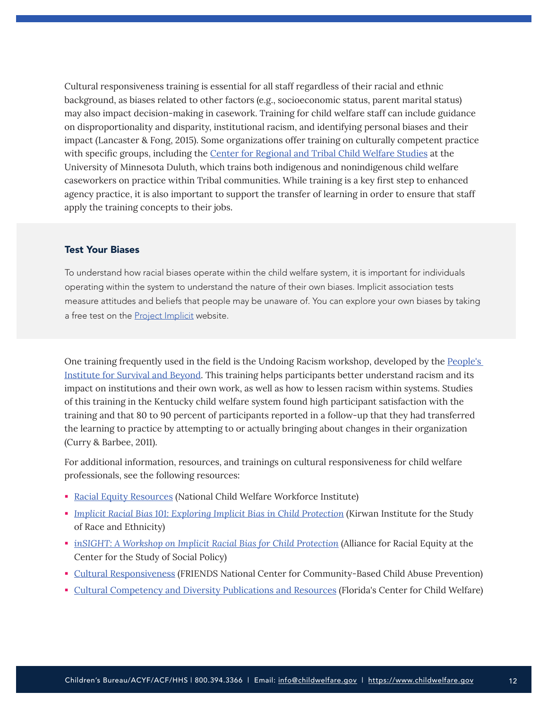Cultural responsiveness training is essential for all staff regardless of their racial and ethnic background, as biases related to other factors (e.g., socioeconomic status, parent marital status) may also impact decision-making in casework. Training for child welfare staff can include guidance on disproportionality and disparity, institutional racism, and identifying personal biases and their impact (Lancaster & Fong, 2015). Some organizations offer training on culturally competent practice with specific groups, including the [Center for Regional and Tribal Child Welfare Studies](https://cehsp.d.umn.edu/departments-centers/departments/social-work/center?mobile=) at the University of Minnesota Duluth, which trains both indigenous and nonindigenous child welfare caseworkers on practice within Tribal communities. While training is a key first step to enhanced agency practice, it is also important to support the transfer of learning in order to ensure that staff apply the training concepts to their jobs.

#### Test Your Biases

To understand how racial biases operate within the child welfare system, it is important for individuals operating within the system to understand the nature of their own biases. Implicit association tests measure attitudes and beliefs that people may be unaware of. You can explore your own biases by taking a free test on the **Project Implicit** website.

One training frequently used in the field is the Undoing Racism workshop, developed by the [People's](https://www.pisab.org/)  [Institute for Survival and Beyond.](https://www.pisab.org/) This training helps participants better understand racism and its impact on institutions and their own work, as well as how to lessen racism within systems. Studies of this training in the Kentucky child welfare system found high participant satisfaction with the training and that 80 to 90 percent of participants reported in a follow-up that they had transferred the learning to practice by attempting to or actually bringing about changes in their organization (Curry & Barbee, 2011).

For additional information, resources, and trainings on cultural responsiveness for child welfare professionals, see the following resources:

- [Racial Equity Resources](https://ncwwi.org/index.php/resourcemenu/racial-equity) (National Child Welfare Workforce Institute)
- **[Implicit Racial Bias 101: Exploring Implicit Bias in Child Protection](https://kirwaninstitute.osu.edu/implicit-bias-101) (Kirwan Institute for the Study** of Race and Ethnicity)
- *[inSIGHT: A Workshop on Implicit Racial Bias for Child Protection](https://cssp.org/resource/insight-a-workshop-on-implicit-racial-bias-for-child-protection/)* (Alliance for Racial Equity at the Center for the Study of Social Policy)
- [Cultural Responsiveness](https://friendsnrc.org/prevention/cultural-responsiveness/) (FRIENDS National Center for Community-Based Child Abuse Prevention)
- [Cultural Competency and Diversity Publications and Resources](http://www.centerforchildwelfare.org/CulturalCompetencyDiversityPub.shtml) (Florida's Center for Child Welfare)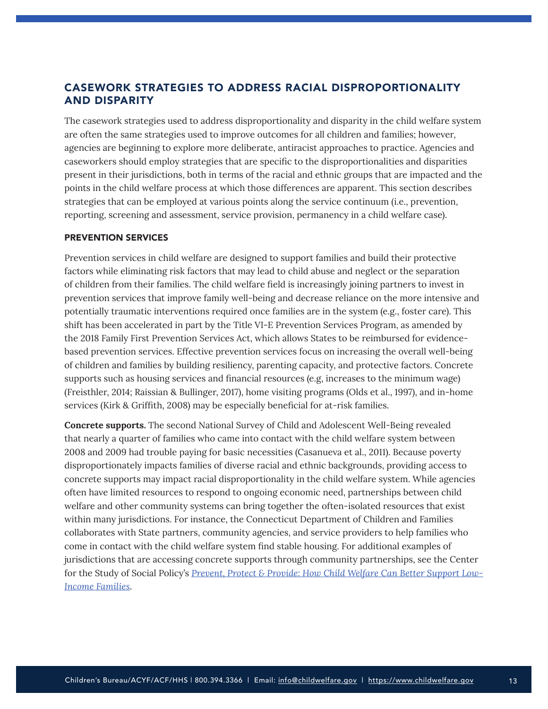# <span id="page-12-0"></span>CASEWORK STRATEGIES TO ADDRESS RACIAL DISPROPORTIONALITY AND DISPARITY

The casework strategies used to address disproportionality and disparity in the child welfare system are often the same strategies used to improve outcomes for all children and families; however, agencies are beginning to explore more deliberate, antiracist approaches to practice. Agencies and caseworkers should employ strategies that are specific to the disproportionalities and disparities present in their jurisdictions, both in terms of the racial and ethnic groups that are impacted and the points in the child welfare process at which those differences are apparent. This section describes strategies that can be employed at various points along the service continuum (i.e., prevention, reporting, screening and assessment, service provision, permanency in a child welfare case).

#### PREVENTION SERVICES

Prevention services in child welfare are designed to support families and build their protective factors while eliminating risk factors that may lead to child abuse and neglect or the separation of children from their families. The child welfare field is increasingly joining partners to invest in prevention services that improve family well-being and decrease reliance on the more intensive and potentially traumatic interventions required once families are in the system (e.g., foster care). This shift has been accelerated in part by the Title VI-E Prevention Services Program, as amended by the 2018 Family First Prevention Services Act, which allows States to be reimbursed for evidencebased prevention services. Effective prevention services focus on increasing the overall well-being of children and families by building resiliency, parenting capacity, and protective factors. Concrete supports such as housing services and financial resources (e.g, increases to the minimum wage) (Freisthler, 2014; Raissian & Bullinger, 2017), home visiting programs (Olds et al., 1997), and in-home services (Kirk & Griffith, 2008) may be especially beneficial for at-risk families.

**Concrete supports.** The second National Survey of Child and Adolescent Well-Being revealed that nearly a quarter of families who came into contact with the child welfare system between 2008 and 2009 had trouble paying for basic necessities (Casanueva et al., 2011). Because poverty disproportionately impacts families of diverse racial and ethnic backgrounds, providing access to concrete supports may impact racial disproportionality in the child welfare system. While agencies often have limited resources to respond to ongoing economic need, partnerships between child welfare and other community systems can bring together the often-isolated resources that exist within many jurisdictions. For instance, the Connecticut Department of Children and Families collaborates with State partners, community agencies, and service providers to help families who come in contact with the child welfare system find stable housing. For additional examples of jurisdictions that are accessing concrete supports through community partnerships, see the Center for the Study of Social Policy's *[Prevent, Protect & Provide: How Child Welfare Can Better Support Low-](http://childwelfaresparc.org/wp-content/uploads/2014/08/Prevent-Protect-Provide-Brief.pdf)[Income Families](http://childwelfaresparc.org/wp-content/uploads/2014/08/Prevent-Protect-Provide-Brief.pdf)*.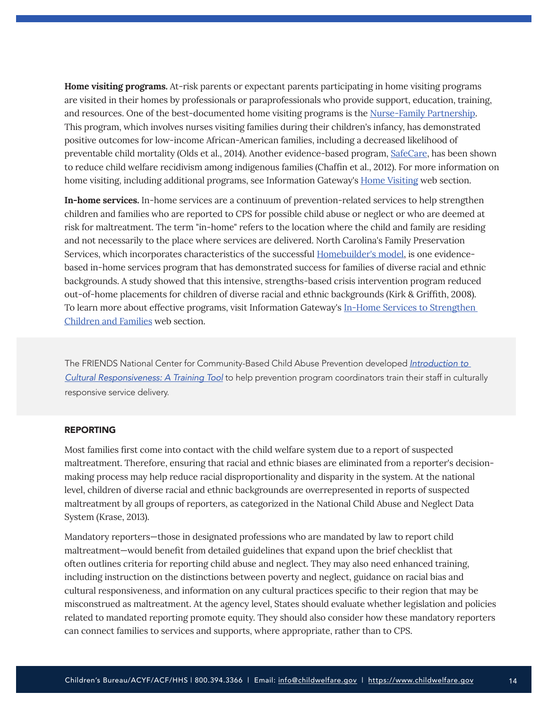**Home visiting programs.** At-risk parents or expectant parents participating in home visiting programs are visited in their homes by professionals or paraprofessionals who provide support, education, training, and resources. One of the best-documented home visiting programs is the [Nurse-Family Partnership](https://www.nursefamilypartnership.org/). This program, which involves nurses visiting families during their children's infancy, has demonstrated positive outcomes for low-income African-American families, including a decreased likelihood of preventable child mortality (Olds et al., 2014). Another evidence-based program, [SafeCare](https://safecare.publichealth.gsu.edu/), has been shown to reduce child welfare recidivism among indigenous families (Chaffin et al., 2012). For more information on home visiting, including additional programs, see Information Gateway's [Home Visiting](https://www.childwelfare.gov/topics/preventing/prevention-programs/homevisit/) web section.

**In-home services.** In-home services are a continuum of prevention-related services to help strengthen children and families who are reported to CPS for possible child abuse or neglect or who are deemed at risk for maltreatment. The term "in-home" refers to the location where the child and family are residing and not necessarily to the place where services are delivered. North Carolina's Family Preservation Services, which incorporates characteristics of the successful [Homebuilder's model](http://www.institutefamily.org/programs_IFPS.asp), is one evidencebased in-home services program that has demonstrated success for families of diverse racial and ethnic backgrounds. A study showed that this intensive, strengths-based crisis intervention program reduced out-of-home placements for children of diverse racial and ethnic backgrounds (Kirk & Griffith, 2008). To learn more about effective programs, visit Information Gateway's [In-Home Services to Strengthen](https://www.childwelfare.gov/topics/supporting/inhome/)  [Children and Families](https://www.childwelfare.gov/topics/supporting/inhome/) web section.

The FRIENDS National Center for Community-Based Child Abuse Prevention developed *[Introduction to](https://friendsnrc.org/prevention/cultural-responsiveness/)  [Cultural Responsiveness: A Training Tool](https://friendsnrc.org/prevention/cultural-responsiveness/)* to help prevention program coordinators train their staff in culturally responsive service delivery.

#### REPORTING

Most families first come into contact with the child welfare system due to a report of suspected maltreatment. Therefore, ensuring that racial and ethnic biases are eliminated from a reporter's decisionmaking process may help reduce racial disproportionality and disparity in the system. At the national level, children of diverse racial and ethnic backgrounds are overrepresented in reports of suspected maltreatment by all groups of reporters, as categorized in the National Child Abuse and Neglect Data System (Krase, 2013).

Mandatory reporters—those in designated professions who are mandated by law to report child maltreatment—would benefit from detailed guidelines that expand upon the brief checklist that often outlines criteria for reporting child abuse and neglect. They may also need enhanced training, including instruction on the distinctions between poverty and neglect, guidance on racial bias and cultural responsiveness, and information on any cultural practices specific to their region that may be misconstrued as maltreatment. At the agency level, States should evaluate whether legislation and policies related to mandated reporting promote equity. They should also consider how these mandatory reporters can connect families to services and supports, where appropriate, rather than to CPS.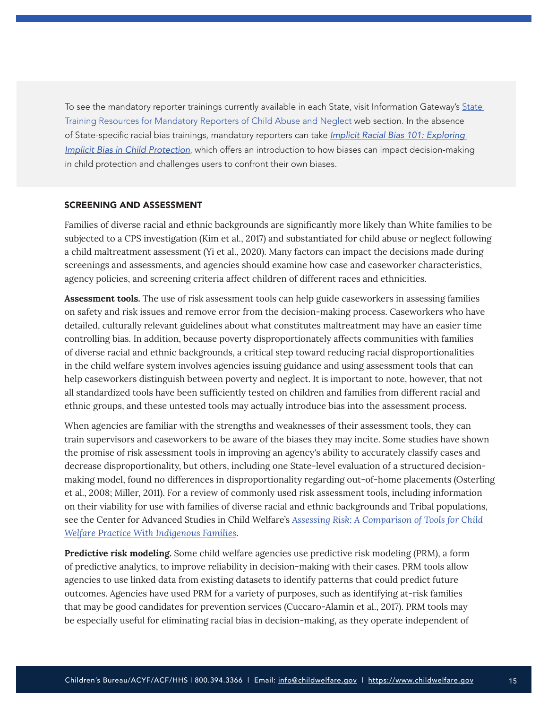To see the mandatory reporter trainings currently available in each State, visit Information Gateway's State [Training Resources for Mandatory Reporters of Child Abuse and Neglect](https://www.childwelfare.gov/organizations/?CWIGFunctionsaction=rols:main.dspList&rolType=Custom&RS_ID=162&rList=ROL) web section. In the absence of State-specific racial bias trainings, mandatory reporters can take *[Implicit Racial Bias 101: Exploring](https://kirwaninstitute.osu.edu/implicit-bias-101)  [Implicit Bias in Child Protection](https://kirwaninstitute.osu.edu/implicit-bias-101)*, which offers an introduction to how biases can impact decision-making in child protection and challenges users to confront their own biases.

#### SCREENING AND ASSESSMENT

Families of diverse racial and ethnic backgrounds are significantly more likely than White families to be subjected to a CPS investigation (Kim et al., 2017) and substantiated for child abuse or neglect following a child maltreatment assessment (Yi et al., 2020). Many factors can impact the decisions made during screenings and assessments, and agencies should examine how case and caseworker characteristics, agency policies, and screening criteria affect children of different races and ethnicities.

**Assessment tools.** The use of risk assessment tools can help guide caseworkers in assessing families on safety and risk issues and remove error from the decision-making process. Caseworkers who have detailed, culturally relevant guidelines about what constitutes maltreatment may have an easier time controlling bias. In addition, because poverty disproportionately affects communities with families of diverse racial and ethnic backgrounds, a critical step toward reducing racial disproportionalities in the child welfare system involves agencies issuing guidance and using assessment tools that can help caseworkers distinguish between poverty and neglect. It is important to note, however, that not all standardized tools have been sufficiently tested on children and families from different racial and ethnic groups, and these untested tools may actually introduce bias into the assessment process.

When agencies are familiar with the strengths and weaknesses of their assessment tools, they can train supervisors and caseworkers to be aware of the biases they may incite. Some studies have shown the promise of risk assessment tools in improving an agency's ability to accurately classify cases and decrease disproportionality, but others, including one State-level evaluation of a structured decisionmaking model, found no differences in disproportionality regarding out-of-home placements (Osterling et al., 2008; Miller, 2011). For a review of commonly used risk assessment tools, including information on their viability for use with families of diverse racial and ethnic backgrounds and Tribal populations, see the Center for Advanced Studies in Child Welfare's *[Assessing Risk: A Comparison of Tools for Child](https://cascw.umn.edu/wp-content/uploads/2018/01/Risk-Assessment_FinalReport.pdf)  [Welfare Practice With Indigenous Families](https://cascw.umn.edu/wp-content/uploads/2018/01/Risk-Assessment_FinalReport.pdf)*.

**Predictive risk modeling.** Some child welfare agencies use predictive risk modeling (PRM), a form of predictive analytics, to improve reliability in decision-making with their cases. PRM tools allow agencies to use linked data from existing datasets to identify patterns that could predict future outcomes. Agencies have used PRM for a variety of purposes, such as identifying at-risk families that may be good candidates for prevention services (Cuccaro-Alamin et al., 2017). PRM tools may be especially useful for eliminating racial bias in decision-making, as they operate independent of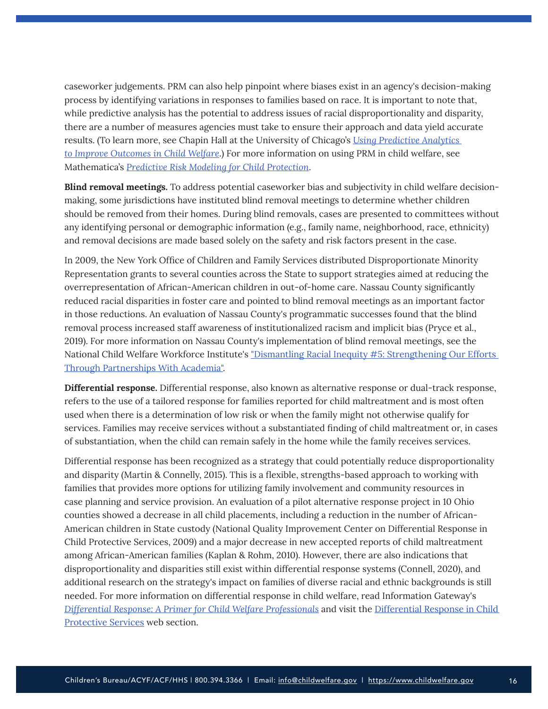caseworker judgements. PRM can also help pinpoint where biases exist in an agency's decision-making process by identifying variations in responses to families based on race. It is important to note that, while predictive analysis has the potential to address issues of racial disproportionality and disparity, there are a number of measures agencies must take to ensure their approach and data yield accurate results. (To learn more, see Chapin Hall at the University of Chicago's *[Using Predictive Analytics](https://www.chapinhall.org/research/5022/)  [to Improve Outcomes in Child Welfare](https://www.chapinhall.org/research/5022/)*.) For more information on using PRM in child welfare, see Mathematica's *[Predictive Risk Modeling for Child Protection](https://www.mathematica.org/our-publications-and-findings/publications/predictive-risk-modeling-for-child-protection)*.

**Blind removal meetings.** To address potential caseworker bias and subjectivity in child welfare decisionmaking, some jurisdictions have instituted blind removal meetings to determine whether children should be removed from their homes. During blind removals, cases are presented to committees without any identifying personal or demographic information (e.g., family name, neighborhood, race, ethnicity) and removal decisions are made based solely on the safety and risk factors present in the case.

In 2009, the New York Office of Children and Family Services distributed Disproportionate Minority Representation grants to several counties across the State to support strategies aimed at reducing the overrepresentation of African-American children in out-of-home care. Nassau County significantly reduced racial disparities in foster care and pointed to blind removal meetings as an important factor in those reductions. An evaluation of Nassau County's programmatic successes found that the blind removal process increased staff awareness of institutionalized racism and implicit bias (Pryce et al., 2019). For more information on Nassau County's implementation of blind removal meetings, see the National Child Welfare Workforce Institute's "[Dismantling Racial Inequity #5: Strengthening Our Efforts](https://vimeo.com/274913211)  [Through Partnerships With Academia](https://vimeo.com/274913211)".

**Differential response.** Differential response, also known as alternative response or dual-track response, refers to the use of a tailored response for families reported for child maltreatment and is most often used when there is a determination of low risk or when the family might not otherwise qualify for services. Families may receive services without a substantiated finding of child maltreatment or, in cases of substantiation, when the child can remain safely in the home while the family receives services.

Differential response has been recognized as a strategy that could potentially reduce disproportionality and disparity (Martin & Connelly, 2015). This is a flexible, strengths-based approach to working with families that provides more options for utilizing family involvement and community resources in case planning and service provision. An evaluation of a pilot alternative response project in 10 Ohio counties showed a decrease in all child placements, including a reduction in the number of African-American children in State custody (National Quality Improvement Center on Differential Response in Child Protective Services, 2009) and a major decrease in new accepted reports of child maltreatment among African-American families (Kaplan & Rohm, 2010). However, there are also indications that disproportionality and disparities still exist within differential response systems (Connell, 2020), and additional research on the strategy's impact on families of diverse racial and ethnic backgrounds is still needed. For more information on differential response in child welfare, read Information Gateway's *[Differential Response: A Primer for Child Welfare Professionals](https://www.childwelfare.gov/pubs/factsheets/differential-response/)* and visit the [Differential Response in Child](https://www.childwelfare.gov/topics/responding/alternative/)  [Protective Services](https://www.childwelfare.gov/topics/responding/alternative/) web section.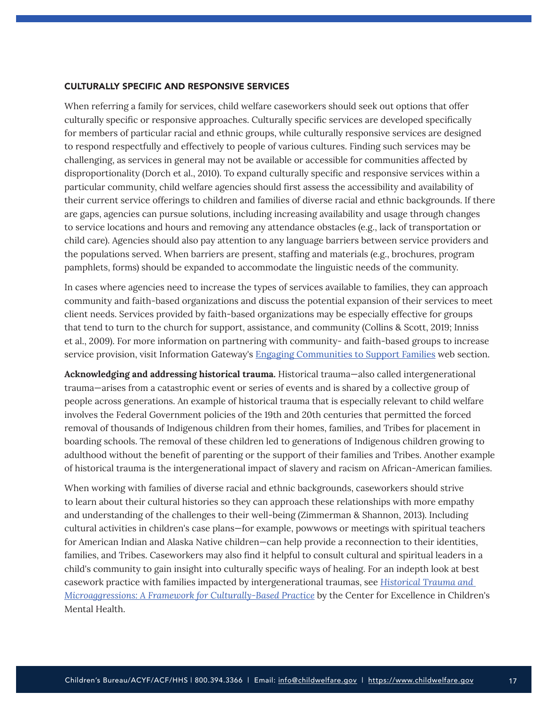#### CULTURALLY SPECIFIC AND RESPONSIVE SERVICES

When referring a family for services, child welfare caseworkers should seek out options that offer culturally specific or responsive approaches. Culturally specific services are developed specifically for members of particular racial and ethnic groups, while culturally responsive services are designed to respond respectfully and effectively to people of various cultures. Finding such services may be challenging, as services in general may not be available or accessible for communities affected by disproportionality (Dorch et al., 2010). To expand culturally specific and responsive services within a particular community, child welfare agencies should first assess the accessibility and availability of their current service offerings to children and families of diverse racial and ethnic backgrounds. If there are gaps, agencies can pursue solutions, including increasing availability and usage through changes to service locations and hours and removing any attendance obstacles (e.g., lack of transportation or child care). Agencies should also pay attention to any language barriers between service providers and the populations served. When barriers are present, staffing and materials (e.g., brochures, program pamphlets, forms) should be expanded to accommodate the linguistic needs of the community.

In cases where agencies need to increase the types of services available to families, they can approach community and faith-based organizations and discuss the potential expansion of their services to meet client needs. Services provided by faith-based organizations may be especially effective for groups that tend to turn to the church for support, assistance, and community (Collins & Scott, 2019; Inniss et al., 2009). For more information on partnering with community- and faith-based groups to increase service provision, visit Information Gateway's [Engaging Communities to Support Families](https://www.childwelfare.gov/topics/famcentered/communities/) web section.

**Acknowledging and addressing historical trauma.** Historical trauma—also called intergenerational trauma—arises from a catastrophic event or series of events and is shared by a collective group of people across generations. An example of historical trauma that is especially relevant to child welfare involves the Federal Government policies of the 19th and 20th centuries that permitted the forced removal of thousands of Indigenous children from their homes, families, and Tribes for placement in boarding schools. The removal of these children led to generations of Indigenous children growing to adulthood without the benefit of parenting or the support of their families and Tribes. Another example of historical trauma is the intergenerational impact of slavery and racism on African-American families.

When working with families of diverse racial and ethnic backgrounds, caseworkers should strive to learn about their cultural histories so they can approach these relationships with more empathy and understanding of the challenges to their well-being (Zimmerman & Shannon, 2013). Including cultural activities in children's case plans—for example, powwows or meetings with spiritual teachers for American Indian and Alaska Native children—can help provide a reconnection to their identities, families, and Tribes. Caseworkers may also find it helpful to consult cultural and spiritual leaders in a child's community to gain insight into culturally specific ways of healing. For an indepth look at best casework practice with families impacted by intergenerational traumas, see *[Historical Trauma and](https://conservancy.umn.edu/bitstream/handle/11299/120667/cmhereviewOct10.pdf?sequence=1&isAllowed=y)  [Microaggressions: A Framework for Culturally-Based Practice](https://conservancy.umn.edu/bitstream/handle/11299/120667/cmhereviewOct10.pdf?sequence=1&isAllowed=y)* by the Center for Excellence in Children's Mental Health.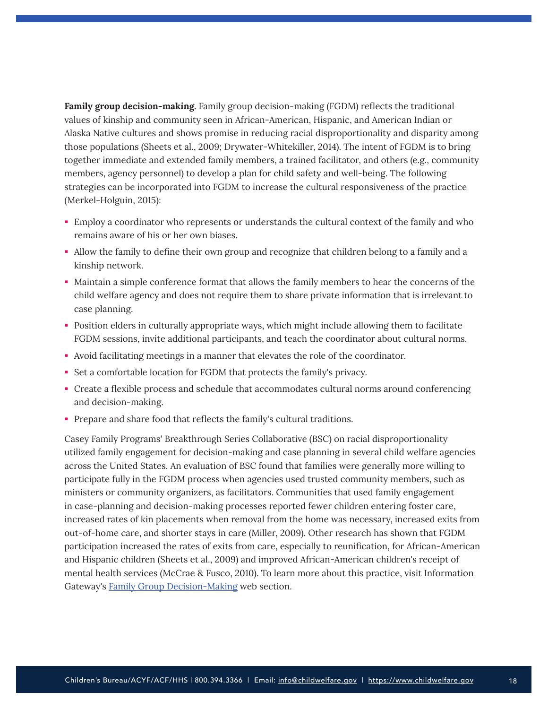**Family group decision-making.** Family group decision-making (FGDM) reflects the traditional values of kinship and community seen in African-American, Hispanic, and American Indian or Alaska Native cultures and shows promise in reducing racial disproportionality and disparity among those populations (Sheets et al., 2009; Drywater-Whitekiller, 2014). The intent of FGDM is to bring together immediate and extended family members, a trained facilitator, and others (e.g., community members, agency personnel) to develop a plan for child safety and well-being. The following strategies can be incorporated into FGDM to increase the cultural responsiveness of the practice (Merkel-Holguin, 2015):

- Employ a coordinator who represents or understands the cultural context of the family and who remains aware of his or her own biases.
- Allow the family to define their own group and recognize that children belong to a family and a kinship network.
- Maintain a simple conference format that allows the family members to hear the concerns of the child welfare agency and does not require them to share private information that is irrelevant to case planning.
- Position elders in culturally appropriate ways, which might include allowing them to facilitate FGDM sessions, invite additional participants, and teach the coordinator about cultural norms.
- Avoid facilitating meetings in a manner that elevates the role of the coordinator.
- Set a comfortable location for FGDM that protects the family's privacy.
- Create a flexible process and schedule that accommodates cultural norms around conferencing and decision-making.
- Prepare and share food that reflects the family's cultural traditions.

Casey Family Programs' Breakthrough Series Collaborative (BSC) on racial disproportionality utilized family engagement for decision-making and case planning in several child welfare agencies across the United States. An evaluation of BSC found that families were generally more willing to participate fully in the FGDM process when agencies used trusted community members, such as ministers or community organizers, as facilitators. Communities that used family engagement in case-planning and decision-making processes reported fewer children entering foster care, increased rates of kin placements when removal from the home was necessary, increased exits from out-of-home care, and shorter stays in care (Miller, 2009). Other research has shown that FGDM participation increased the rates of exits from care, especially to reunification, for African-American and Hispanic children (Sheets et al., 2009) and improved African-American children's receipt of mental health services (McCrae & Fusco, 2010). To learn more about this practice, visit Information Gateway's [Family Group Decision-Making](https://www.childwelfare.gov/topics/famcentered/decisions/) web section.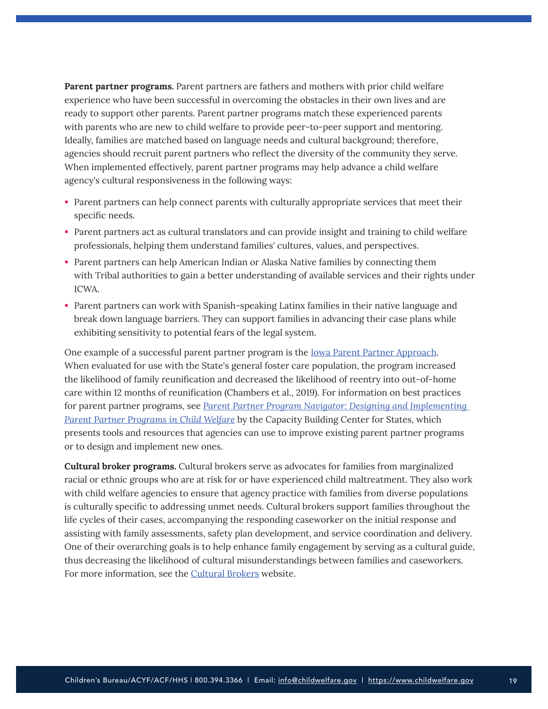**Parent partner programs.** Parent partners are fathers and mothers with prior child welfare experience who have been successful in overcoming the obstacles in their own lives and are ready to support other parents. Parent partner programs match these experienced parents with parents who are new to child welfare to provide peer-to-peer support and mentoring. Ideally, families are matched based on language needs and cultural background; therefore, agencies should recruit parent partners who reflect the diversity of the community they serve. When implemented effectively, parent partner programs may help advance a child welfare agency's cultural responsiveness in the following ways:

- Parent partners can help connect parents with culturally appropriate services that meet their specific needs.
- Parent partners act as cultural translators and can provide insight and training to child welfare professionals, helping them understand families' cultures, values, and perspectives.
- Parent partners can help American Indian or Alaska Native families by connecting them with Tribal authorities to gain a better understanding of available services and their rights under ICWA.
- Parent partners can work with Spanish-speaking Latinx families in their native language and break down language barriers. They can support families in advancing their case plans while exhibiting sensitivity to potential fears of the legal system.

One example of a successful parent partner program is the [Iowa Parent Partner Approach.](https://dhs.iowa.gov/parent-partners/Contractors) When evaluated for use with the State's general foster care population, the program increased the likelihood of family reunification and decreased the likelihood of reentry into out-of-home care within 12 months of reunification (Chambers et al., 2019). For information on best practices for parent partner programs, see *[Parent Partner Program Navigator: Designing and Implementing](https://library.childwelfare.gov/cwig/ws/library/docs/capacity/Blob/107284.pdf?r=1&rpp=10&upp=0&w=+NATIVE%28%27recno%3D107284%27%29&m=1)  [Parent Partner Programs in Child Welfare](https://library.childwelfare.gov/cwig/ws/library/docs/capacity/Blob/107284.pdf?r=1&rpp=10&upp=0&w=+NATIVE%28%27recno%3D107284%27%29&m=1)* by the Capacity Building Center for States, which presents tools and resources that agencies can use to improve existing parent partner programs or to design and implement new ones.

**Cultural broker programs.** Cultural brokers serve as advocates for families from marginalized racial or ethnic groups who are at risk for or have experienced child maltreatment. They also work with child welfare agencies to ensure that agency practice with families from diverse populations is culturally specific to addressing unmet needs. Cultural brokers support families throughout the life cycles of their cases, accompanying the responding caseworker on the initial response and assisting with family assessments, safety plan development, and service coordination and delivery. One of their overarching goals is to help enhance family engagement by serving as a cultural guide, thus decreasing the likelihood of cultural misunderstandings between families and caseworkers. For more information, see the [Cultural Brokers](https://culturalbrokerfa.com/) website.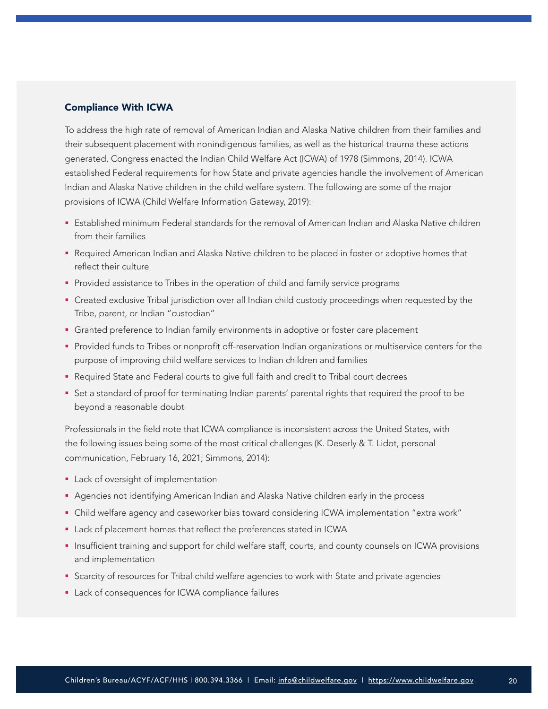### Compliance With ICWA

To address the high rate of removal of American Indian and Alaska Native children from their families and their subsequent placement with nonindigenous families, as well as the historical trauma these actions generated, Congress enacted the Indian Child Welfare Act (ICWA) of 1978 (Simmons, 2014). ICWA established Federal requirements for how State and private agencies handle the involvement of American Indian and Alaska Native children in the child welfare system. The following are some of the major provisions of ICWA (Child Welfare Information Gateway, 2019):

- Established minimum Federal standards for the removal of American Indian and Alaska Native children from their families
- **-** Required American Indian and Alaska Native children to be placed in foster or adoptive homes that reflect their culture
- **Provided assistance to Tribes in the operation of child and family service programs**
- Created exclusive Tribal jurisdiction over all Indian child custody proceedings when requested by the Tribe, parent, or Indian "custodian"
- Granted preference to Indian family environments in adoptive or foster care placement
- Provided funds to Tribes or nonprofit off-reservation Indian organizations or multiservice centers for the purpose of improving child welfare services to Indian children and families
- **-** Required State and Federal courts to give full faith and credit to Tribal court decrees
- Set a standard of proof for terminating Indian parents' parental rights that required the proof to be beyond a reasonable doubt

Professionals in the field note that ICWA compliance is inconsistent across the United States, with the following issues being some of the most critical challenges (K. Deserly & T. Lidot, personal communication, February 16, 2021; Simmons, 2014):

- **Lack of oversight of implementation**
- Agencies not identifying American Indian and Alaska Native children early in the process
- Child welfare agency and caseworker bias toward considering ICWA implementation "extra work"
- **EXECT** Lack of placement homes that reflect the preferences stated in ICWA
- **Insufficient training and support for child welfare staff, courts, and county counsels on ICWA provisions** and implementation
- **Scarcity of resources for Tribal child welfare agencies to work with State and private agencies**
- **Lack of consequences for ICWA compliance failures**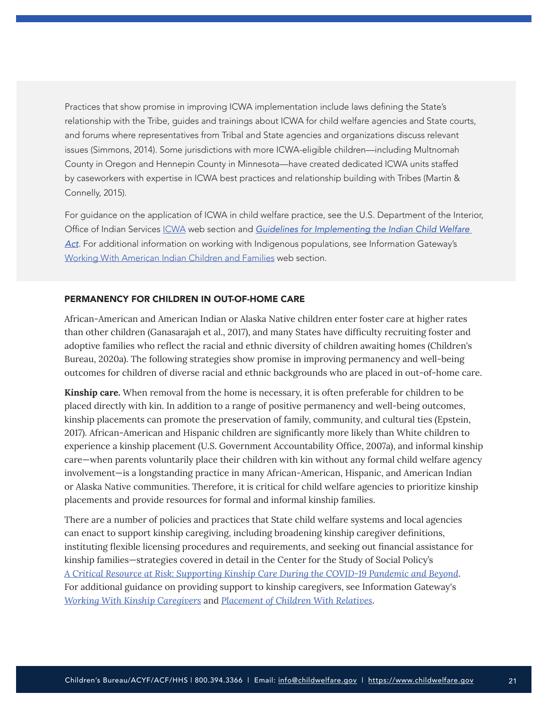Practices that show promise in improving ICWA implementation include laws defining the State's relationship with the Tribe, guides and trainings about ICWA for child welfare agencies and State courts, and forums where representatives from Tribal and State agencies and organizations discuss relevant issues (Simmons, 2014). Some jurisdictions with more ICWA-eligible children—including Multnomah County in Oregon and Hennepin County in Minnesota—have created dedicated ICWA units staffed by caseworkers with expertise in ICWA best practices and relationship building with Tribes (Martin & Connelly, 2015).

For guidance on the application of ICWA in child welfare practice, see the U.S. Department of the Interior, Office of Indian Services [ICWA](https://www.indianaffairs.gov/bia/ois/dhs/icwa) web section and *[Guidelines for Implementing the Indian Child Welfare](https://www.bia.gov/sites/bia.gov/files/assets/bia/ois/pdf/idc2-056831.pdf)  [Act](https://www.bia.gov/sites/bia.gov/files/assets/bia/ois/pdf/idc2-056831.pdf)*. For additional information on working with Indigenous populations, see Information Gateway's [Working With American Indian Children and Families](https://www.childwelfare.gov/topics/systemwide/diverse-populations/americanindian/) web section.

#### PERMANENCY FOR CHILDREN IN OUT-OF-HOME CARE

African-American and American Indian or Alaska Native children enter foster care at higher rates than other children (Ganasarajah et al., 2017), and many States have difficulty recruiting foster and adoptive families who reflect the racial and ethnic diversity of children awaiting homes (Children's Bureau, 2020a). The following strategies show promise in improving permanency and well-being outcomes for children of diverse racial and ethnic backgrounds who are placed in out-of-home care.

**Kinship care.** When removal from the home is necessary, it is often preferable for children to be placed directly with kin. In addition to a range of positive permanency and well-being outcomes, kinship placements can promote the preservation of family, community, and cultural ties (Epstein, 2017). African-American and Hispanic children are significantly more likely than White children to experience a kinship placement (U.S. Government Accountability Office, 2007a), and informal kinship care—when parents voluntarily place their children with kin without any formal child welfare agency involvement—is a longstanding practice in many African-American, Hispanic, and American Indian or Alaska Native communities. Therefore, it is critical for child welfare agencies to prioritize kinship placements and provide resources for formal and informal kinship families.

There are a number of policies and practices that State child welfare systems and local agencies can enact to support kinship caregiving, including broadening kinship caregiver definitions, instituting flexible licensing procedures and requirements, and seeking out financial assistance for kinship families—strategies covered in detail in the Center for the Study of Social Policy's *[A Critical Resource at Risk: Supporting Kinship Care During the COVID-19 Pandemic and Beyond](https://cssp.org/wp-content/uploads/2020/05/Policy-Kinship-Care-CSSP.pdf)*. For additional guidance on providing support to kinship caregivers, see Information Gateway's *[Working With Kinship Caregivers](https://www.childwelfare.gov/pubs/kinship/)* and *[Placement of Children With Relatives](https://www.childwelfare.gov/topics/systemwide/laws-policies/statutes/placement/)*.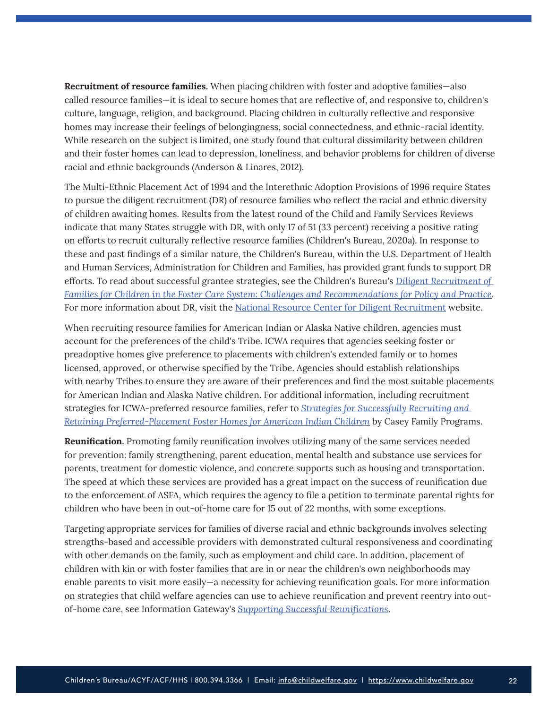**Recruitment of resource families.** When placing children with foster and adoptive families—also called resource families—it is ideal to secure homes that are reflective of, and responsive to, children's culture, language, religion, and background. Placing children in culturally reflective and responsive homes may increase their feelings of belongingness, social connectedness, and ethnic-racial identity. While research on the subject is limited, one study found that cultural dissimilarity between children and their foster homes can lead to depression, loneliness, and behavior problems for children of diverse racial and ethnic backgrounds (Anderson & Linares, 2012).

The Multi-Ethnic Placement Act of 1994 and the Interethnic Adoption Provisions of 1996 require States to pursue the diligent recruitment (DR) of resource families who reflect the racial and ethnic diversity of children awaiting homes. Results from the latest round of the Child and Family Services Reviews indicate that many States struggle with DR, with only 17 of 51 (33 percent) receiving a positive rating on efforts to recruit culturally reflective resource families (Children's Bureau, 2020a). In response to these and past findings of a similar nature, the Children's Bureau, within the U.S. Department of Health and Human Services, Administration for Children and Families, has provided grant funds to support DR efforts. To read about successful grantee strategies, see the Children's Bureau's *[Diligent Recruitment of](https://www.acf.hhs.gov/cb/resource/diligent-recruitment-challenges-and-recommendations)  [Families for Children in the Foster Care System: Challenges and Recommendations for Policy and Practice](https://www.acf.hhs.gov/cb/resource/diligent-recruitment-challenges-and-recommendations)*. For more information about DR, visit the [National Resource Center for Diligent Recruitment](http://www.nrcdr.org/) website.

When recruiting resource families for American Indian or Alaska Native children, agencies must account for the preferences of the child's Tribe. ICWA requires that agencies seeking foster or preadoptive homes give preference to placements with children's extended family or to homes licensed, approved, or otherwise specified by the Tribe. Agencies should establish relationships with nearby Tribes to ensure they are aware of their preferences and find the most suitable placements for American Indian and Alaska Native children. For additional information, including recruitment strategies for ICWA-preferred resource families, refer to *[Strategies for Successfully Recruiting and](https://www.casey.org/icwa-recruitment-retention/)  [Retaining Preferred-Placement Foster Homes for American Indian Children](https://www.casey.org/icwa-recruitment-retention/)* by Casey Family Programs.

**Reunification.** Promoting family reunification involves utilizing many of the same services needed for prevention: family strengthening, parent education, mental health and substance use services for parents, treatment for domestic violence, and concrete supports such as housing and transportation. The speed at which these services are provided has a great impact on the success of reunification due to the enforcement of ASFA, which requires the agency to file a petition to terminate parental rights for children who have been in out-of-home care for 15 out of 22 months, with some exceptions.

Targeting appropriate services for families of diverse racial and ethnic backgrounds involves selecting strengths-based and accessible providers with demonstrated cultural responsiveness and coordinating with other demands on the family, such as employment and child care. In addition, placement of children with kin or with foster families that are in or near the children's own neighborhoods may enable parents to visit more easily—a necessity for achieving reunification goals. For more information on strategies that child welfare agencies can use to achieve reunification and prevent reentry into outof-home care, see Information Gateway's *[Supporting Successful Reunifications](https://www.childwelfare.gov/pubs/supporting-successful-reunifications/)*.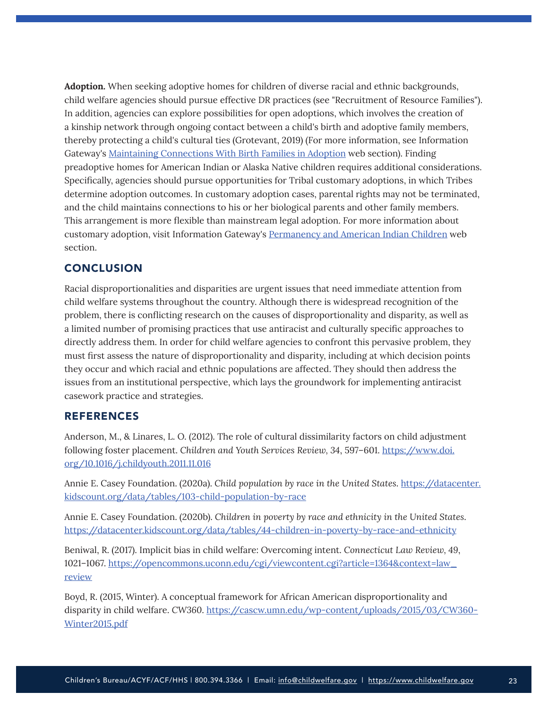<span id="page-22-0"></span>**Adoption.** When seeking adoptive homes for children of diverse racial and ethnic backgrounds, child welfare agencies should pursue effective DR practices (see "Recruitment of Resource Families"). In addition, agencies can explore possibilities for open adoptions, which involves the creation of a kinship network through ongoing contact between a child's birth and adoptive family members, thereby protecting a child's cultural ties (Grotevant, 2019) (For more information, see Information Gateway's [Maintaining Connections With Birth Families in Adoption](https://www.childwelfare.gov/topics/adoption/preplacement/adoption-openness/) web section). Finding preadoptive homes for American Indian or Alaska Native children requires additional considerations. Specifically, agencies should pursue opportunities for Tribal customary adoptions, in which Tribes determine adoption outcomes. In customary adoption cases, parental rights may not be terminated, and the child maintains connections to his or her biological parents and other family members. This arrangement is more flexible than mainstream legal adoption. For more information about customary adoption, visit Information Gateway's [Permanency and American Indian Children](https://www.childwelfare.gov/topics/systemwide/diverse-populations/americanindian/care/aipermanency/) web section.

## **CONCLUSION**

Racial disproportionalities and disparities are urgent issues that need immediate attention from child welfare systems throughout the country. Although there is widespread recognition of the problem, there is conflicting research on the causes of disproportionality and disparity, as well as a limited number of promising practices that use antiracist and culturally specific approaches to directly address them. In order for child welfare agencies to confront this pervasive problem, they must first assess the nature of disproportionality and disparity, including at which decision points they occur and which racial and ethnic populations are affected. They should then address the issues from an institutional perspective, which lays the groundwork for implementing antiracist casework practice and strategies.

## REFERENCES

Anderson, M., & Linares, L. O. (2012). The role of cultural dissimilarity factors on child adjustment following foster placement. *Children and Youth Services Review, 34*, 597–601. [https://www.doi.](https://www.doi.org/10.1016/j.childyouth.2011.11.016) [org/10.1016/j.childyouth.2011.11.016](https://www.doi.org/10.1016/j.childyouth.2011.11.016)

Annie E. Casey Foundation. (2020a). *Child population by race in the United States*. [https://datacenter.](https://datacenter.kidscount.org/data/tables/103-child-population-by-race) [kidscount.org/data/tables/103-child-population-by-race](https://datacenter.kidscount.org/data/tables/103-child-population-by-race)

Annie E. Casey Foundation. (2020b). *Children in poverty by race and ethnicity in the United States*. <https://datacenter.kidscount.org/data/tables/44-children-in-poverty-by-race-and-ethnicity>

Beniwal, R. (2017). Implicit bias in child welfare: Overcoming intent. *Connecticut Law Review, 49*, 1021–1067. [https://opencommons.uconn.edu/cgi/viewcontent.cgi?article=1364&context=law\\_](https://opencommons.uconn.edu/cgi/viewcontent.cgi?article=1364&context=law_review) [review](https://opencommons.uconn.edu/cgi/viewcontent.cgi?article=1364&context=law_review)

Boyd, R. (2015, Winter). A conceptual framework for African American disproportionality and disparity in child welfare. *CW360*. [https://cascw.umn.edu/wp-content/uploads/2015/03/CW360-](https://cascw.umn.edu/wp-content/uploads/2015/03/CW360-Winter2015.pdf) [Winter2015.pdf](https://cascw.umn.edu/wp-content/uploads/2015/03/CW360-Winter2015.pdf)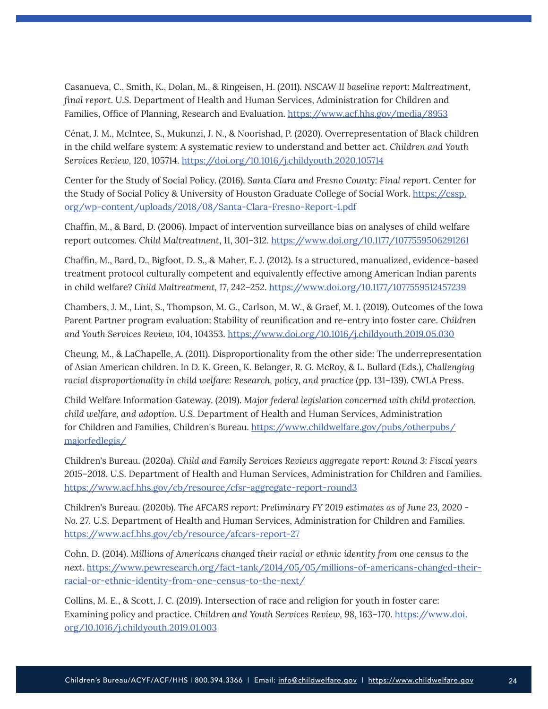Casanueva, C., Smith, K., Dolan, M., & Ringeisen, H. (2011). *NSCAW II baseline report: Maltreatment, final report*. U.S. Department of Health and Human Services, Administration for Children and Families, Office of Planning, Research and Evaluation. <https://www.acf.hhs.gov/media/8953>

Cénat, J. M., McIntee, S., Mukunzi, J. N., & Noorishad, P. (2020). Overrepresentation of Black children in the child welfare system: A systematic review to understand and better act. *Children and Youth Services Review, 120*, 105714.<https://doi.org/10.1016/j.childyouth.2020.105714>

Center for the Study of Social Policy. (2016). *Santa Clara and Fresno County: Final report*. Center for the Study of Social Policy & University of Houston Graduate College of Social Work. [https://cssp.](https://cssp.org/wp-content/uploads/2018/08/Santa-Clara-Fresno-Report-1.pdf) [org/wp-content/uploads/2018/08/Santa-Clara-Fresno-Report-1.pdf](https://cssp.org/wp-content/uploads/2018/08/Santa-Clara-Fresno-Report-1.pdf)

Chaffin, M., & Bard, D. (2006). Impact of intervention surveillance bias on analyses of child welfare report outcomes. *Child Maltreatment*, 11, 301–312.<https://www.doi.org/10.1177/1077559506291261>

Chaffin, M., Bard, D., Bigfoot, D. S., & Maher, E. J. (2012). Is a structured, manualized, evidence-based treatment protocol culturally competent and equivalently effective among American Indian parents in child welfare? *Child Maltreatment, 17*, 242–252. <https://www.doi.org/10.1177/1077559512457239>

Chambers, J. M., Lint, S., Thompson, M. G., Carlson, M. W., & Graef, M. I. (2019). Outcomes of the Iowa Parent Partner program evaluation: Stability of reunification and re-entry into foster care. *Children and Youth Services Review, 104*, 104353. <https://www.doi.org/10.1016/j.childyouth.2019.05.030>

Cheung, M., & LaChapelle, A. (2011). Disproportionality from the other side: The underrepresentation of Asian American children. In D. K. Green, K. Belanger, R. G. McRoy, & L. Bullard (Eds.), *Challenging racial disproportionality in child welfare: Research, policy, and practice* (pp. 131–139). CWLA Press.

Child Welfare Information Gateway. (2019). *Major federal legislation concerned with child protection, child welfare, and adoption*. U.S. Department of Health and Human Services, Administration for Children and Families, Children's Bureau. [https://www.childwelfare.gov/pubs/otherpubs/](https://www.childwelfare.gov/pubs/otherpubs/majorfedlegis/) [majorfedlegis/](https://www.childwelfare.gov/pubs/otherpubs/majorfedlegis/)

Children's Bureau. (2020a). *Child and Family Services Reviews aggregate report: Round 3: Fiscal years 2015–2018*. U.S. Department of Health and Human Services, Administration for Children and Families. <https://www.acf.hhs.gov/cb/resource/cfsr-aggregate-report-round3>

Children's Bureau. (2020b). *The AFCARS report: Preliminary FY 2019 estimates as of June 23, 2020 - No. 27*. U.S. Department of Health and Human Services, Administration for Children and Families. <https://www.acf.hhs.gov/cb/resource/afcars-report-27>

Cohn, D. (2014). *Millions of Americans changed their racial or ethnic identity from one census to the next*. [https://www.pewresearch.org/fact-tank/2014/05/05/millions-of-americans-changed-their](https://www.pewresearch.org/fact-tank/2014/05/05/millions-of-americans-changed-their-racial-or-ethnic-identity-from-one-census-to-the-next/)[racial-or-ethnic-identity-from-one-census-to-the-next/](https://www.pewresearch.org/fact-tank/2014/05/05/millions-of-americans-changed-their-racial-or-ethnic-identity-from-one-census-to-the-next/)

Collins, M. E., & Scott, J. C. (2019). Intersection of race and religion for youth in foster care: Examining policy and practice. *Children and Youth Services Review, 98*, 163–170. [https://www.doi.](https://www.doi.org/10.1016/j.childyouth.2019.01.003) [org/10.1016/j.childyouth.2019.01.003](https://www.doi.org/10.1016/j.childyouth.2019.01.003)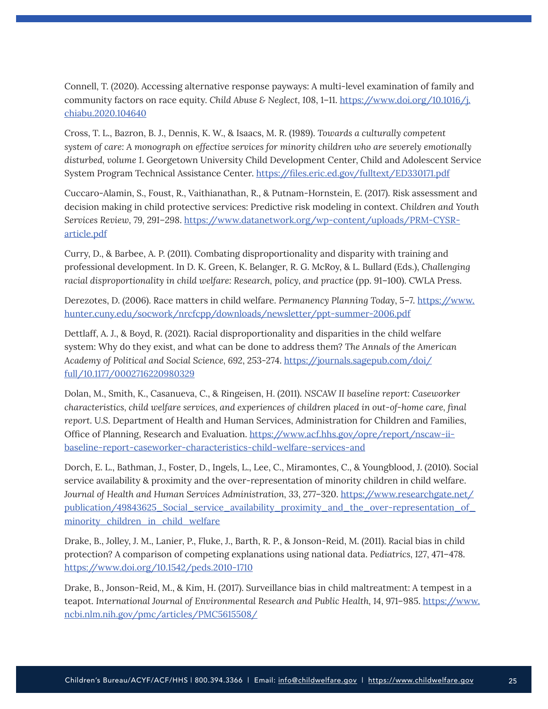Connell, T. (2020). Accessing alternative response payways: A multi-level examination of family and community factors on race equity. *Child Abuse & Neglect, 108*, 1–11. [https://www.doi.org/10.1016/j.](https://www.doi.org/10.1016/j.chiabu.2020.104640) [chiabu.2020.104640](https://www.doi.org/10.1016/j.chiabu.2020.104640)

Cross, T. L., Bazron, B. J., Dennis, K. W., & Isaacs, M. R. (1989). *Towards a culturally competent system of care: A monograph on effective services for minority children who are severely emotionally disturbed, volume 1*. Georgetown University Child Development Center, Child and Adolescent Service System Program Technical Assistance Center.<https://files.eric.ed.gov/fulltext/ED330171.pdf>

Cuccaro-Alamin, S., Foust, R., Vaithianathan, R., & Putnam-Hornstein, E. (2017). Risk assessment and decision making in child protective services: Predictive risk modeling in context. *Children and Youth Services Review, 79, 291–298*. [https://www.datanetwork.org/wp-content/uploads/PRM-CYSR](https://www.datanetwork.org/wp-content/uploads/PRM-CYSR-article.pdf)[article.pdf](https://www.datanetwork.org/wp-content/uploads/PRM-CYSR-article.pdf)

Curry, D., & Barbee, A. P. (2011). Combating disproportionality and disparity with training and professional development. In D. K. Green, K. Belanger, R. G. McRoy, & L. Bullard (Eds.), *Challenging racial disproportionality in child welfare: Research, policy, and practice* (pp. 91–100). CWLA Press.

Derezotes, D. (2006). Race matters in child welfare. *Permanency Planning Today*, 5–7. [https://www.](https://www.hunter.cuny.edu/socwork/nrcfcpp/downloads/newsletter/ppt-summer-2006.pdf) [hunter.cuny.edu/socwork/nrcfcpp/downloads/newsletter/ppt-summer-2006.pdf](https://www.hunter.cuny.edu/socwork/nrcfcpp/downloads/newsletter/ppt-summer-2006.pdf)

Dettlaff, A. J., & Boyd, R. (2021). Racial disproportionality and disparities in the child welfare system: Why do they exist, and what can be done to address them? *The Annals of the American Academy of Political and Social Science, 692*, 253-274. [https://journals.sagepub.com/doi/](https://journals.sagepub.com/doi/full/10.1177/0002716220980329) [full/10.1177/0002716220980329](https://journals.sagepub.com/doi/full/10.1177/0002716220980329)

Dolan, M., Smith, K., Casanueva, C., & Ringeisen, H. (2011). *NSCAW II baseline report: Caseworker characteristics, child welfare services, and experiences of children placed in out-of-home care, final report*. U.S. Department of Health and Human Services, Administration for Children and Families, Office of Planning, Research and Evaluation. [https://www.acf.hhs.gov/opre/report/nscaw-ii](https://www.acf.hhs.gov/opre/report/nscaw-ii-baseline-report-caseworker-characteristics-child-welfare-services-and)[baseline-report-caseworker-characteristics-child-welfare-services-and](https://www.acf.hhs.gov/opre/report/nscaw-ii-baseline-report-caseworker-characteristics-child-welfare-services-and)

Dorch, E. L., Bathman, J., Foster, D., Ingels, L., Lee, C., Miramontes, C., & Youngblood, J. (2010). Social service availability & proximity and the over-representation of minority children in child welfare. *Journal of Health and Human Services Administration, 33*, 277–320. [https://www.researchgate.net/](https://www.researchgate.net/publication/49843625_Social_service_availability_proximity_and_the_over-representation_of_minority_children_in_child_welfare) [publication/49843625\\_Social\\_service\\_availability\\_proximity\\_and\\_the\\_over-representation\\_of\\_](https://www.researchgate.net/publication/49843625_Social_service_availability_proximity_and_the_over-representation_of_minority_children_in_child_welfare) [minority\\_children\\_in\\_child\\_welfare](https://www.researchgate.net/publication/49843625_Social_service_availability_proximity_and_the_over-representation_of_minority_children_in_child_welfare)

Drake, B., Jolley, J. M., Lanier, P., Fluke, J., Barth, R. P., & Jonson-Reid, M. (2011). Racial bias in child protection? A comparison of competing explanations using national data. *Pediatrics, 127*, 471–478. <https://www.doi.org/10.1542/peds.2010-1710>

Drake, B., Jonson-Reid, M., & Kim, H. (2017). Surveillance bias in child maltreatment: A tempest in a teapot. International Journal of Environmental Research and Public Health, 14, 971-985. [https://www.](https://www.ncbi.nlm.nih.gov/pmc/articles/PMC5615508/) [ncbi.nlm.nih.gov/pmc/articles/PMC5615508/](https://www.ncbi.nlm.nih.gov/pmc/articles/PMC5615508/)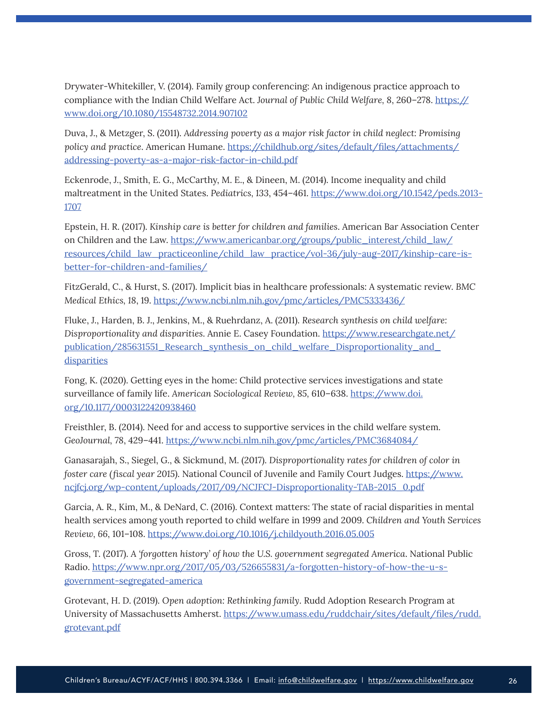Drywater-Whitekiller, V. (2014). Family group conferencing: An indigenous practice approach to compliance with the Indian Child Welfare Act. *Journal of Public Child Welfare, 8*, 260–278. [https://](https://www.doi.org/10.1080/15548732.2014.907102) [www.doi.org/10.1080/15548732.2014.907102](https://www.doi.org/10.1080/15548732.2014.907102)

Duva, J., & Metzger, S. (2011). *Addressing poverty as a major risk factor in child neglect: Promising policy and practice*. American Humane. [https://childhub.org/sites/default/files/attachments/](https://childhub.org/sites/default/files/attachments/addressing-poverty-as-a-major-risk-factor-in-child.pdf) [addressing-poverty-as-a-major-risk-factor-in-child.pdf](https://childhub.org/sites/default/files/attachments/addressing-poverty-as-a-major-risk-factor-in-child.pdf)

Eckenrode, J., Smith, E. G., McCarthy, M. E., & Dineen, M. (2014). Income inequality and child maltreatment in the United States. *Pediatrics, 133*, 454–461. [https://www.doi.org/10.1542/peds.2013-](https://www.doi.org/10.1542/peds.2013-1707) [1707](https://www.doi.org/10.1542/peds.2013-1707)

Epstein, H. R. (2017). *Kinship care is better for children and families*. American Bar Association Center on Children and the Law. [https://www.americanbar.org/groups/public\\_interest/child\\_law/](https://www.americanbar.org/groups/public_interest/child_law/resources/child_law_practiceonline/child_law_practice/vol-36/july-aug-2017/kinship-care-is-better-for-children-and-families/) [resources/child\\_law\\_practiceonline/child\\_law\\_practice/vol-36/july-aug-2017/kinship-care-is](https://www.americanbar.org/groups/public_interest/child_law/resources/child_law_practiceonline/child_law_practice/vol-36/july-aug-2017/kinship-care-is-better-for-children-and-families/)[better-for-children-and-families/](https://www.americanbar.org/groups/public_interest/child_law/resources/child_law_practiceonline/child_law_practice/vol-36/july-aug-2017/kinship-care-is-better-for-children-and-families/)

FitzGerald, C., & Hurst, S. (2017). Implicit bias in healthcare professionals: A systematic review. *BMC Medical Ethics, 18*, 19. <https://www.ncbi.nlm.nih.gov/pmc/articles/PMC5333436/>

Fluke, J., Harden, B. J., Jenkins, M., & Ruehrdanz, A. (2011). *Research synthesis on child welfare: Disproportionality and disparities*. Annie E. Casey Foundation. [https://www.researchgate.net/](https://www.researchgate.net/publication/285631551_Research_synthesis_on_child_welfare_Disproportionality_and_disparities) [publication/285631551\\_Research\\_synthesis\\_on\\_child\\_welfare\\_Disproportionality\\_and\\_](https://www.researchgate.net/publication/285631551_Research_synthesis_on_child_welfare_Disproportionality_and_disparities) **[disparities](https://www.researchgate.net/publication/285631551_Research_synthesis_on_child_welfare_Disproportionality_and_disparities)** 

Fong, K. (2020). Getting eyes in the home: Child protective services investigations and state surveillance of family life. *American Sociological Review, 85,* 610–638. [https://www.doi.](https://www.doi.org/10.1177/0003122420938460) [org/10.1177/0003122420938460](https://www.doi.org/10.1177/0003122420938460)

Freisthler, B. (2014). Need for and access to supportive services in the child welfare system. *GeoJournal, 78*, 429–441.<https://www.ncbi.nlm.nih.gov/pmc/articles/PMC3684084/>

Ganasarajah, S., Siegel, G., & Sickmund, M. (2017). *Disproportionality rates for children of color in foster care (fiscal year 2015)*. National Council of Juvenile and Family Court Judges. [https://www.](https://www.ncjfcj.org/wp-content/uploads/2017/09/NCJFCJ-Disproportionality-TAB-2015_0.pdf) [ncjfcj.org/wp-content/uploads/2017/09/NCJFCJ-Disproportionality-TAB-2015\\_0.pdf](https://www.ncjfcj.org/wp-content/uploads/2017/09/NCJFCJ-Disproportionality-TAB-2015_0.pdf)

Garcia, A. R., Kim, M., & DeNard, C. (2016). Context matters: The state of racial disparities in mental health services among youth reported to child welfare in 1999 and 2009. *Children and Youth Services Review, 66*, 101–108.<https://www.doi.org/10.1016/j.childyouth.2016.05.005>

Gross, T. (2017). *A 'forgotten history' of how the U.S. government segregated America*. National Public Radio. [https://www.npr.org/2017/05/03/526655831/a-forgotten-history-of-how-the-u-s](https://www.npr.org/2017/05/03/526655831/a-forgotten-history-of-how-the-u-s-government-segregated-america)[government-segregated-america](https://www.npr.org/2017/05/03/526655831/a-forgotten-history-of-how-the-u-s-government-segregated-america)

Grotevant, H. D. (2019). *Open adoption: Rethinking family*. Rudd Adoption Research Program at University of Massachusetts Amherst. [https://www.umass.edu/ruddchair/sites/default/files/rudd.](https://www.umass.edu/ruddchair/sites/default/files/rudd.grotevant.pdf) [grotevant.pdf](https://www.umass.edu/ruddchair/sites/default/files/rudd.grotevant.pdf)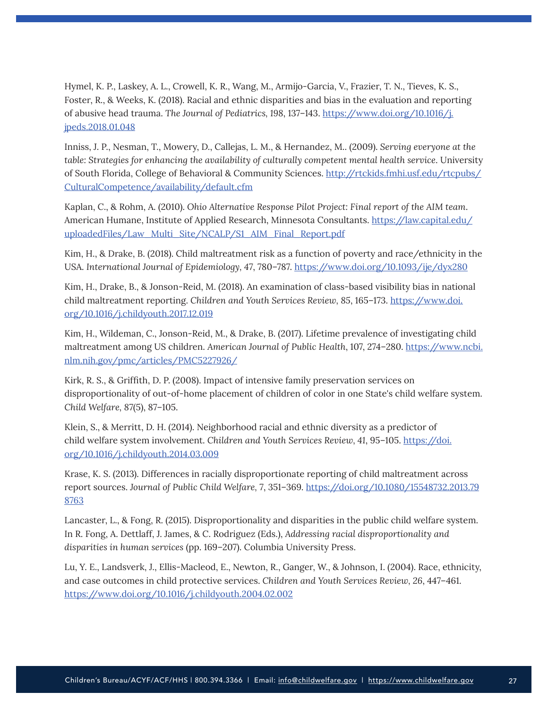Hymel, K. P., Laskey, A. L., Crowell, K. R., Wang, M., Armijo-Garcia, V., Frazier, T. N., Tieves, K. S., Foster, R., & Weeks, K. (2018). Racial and ethnic disparities and bias in the evaluation and reporting of abusive head trauma. *The Journal of Pediatrics, 198*, 137–143. [https://www.doi.org/10.1016/j.](https://www.doi.org/10.1016/j.jpeds.2018.01.048) [jpeds.2018.01.048](https://www.doi.org/10.1016/j.jpeds.2018.01.048)

Inniss, J. P., Nesman, T., Mowery, D., Callejas, L. M., & Hernandez, M.. (2009). *Serving everyone at the table: Strategies for enhancing the availability of culturally competent mental health service*. University of South Florida, College of Behavioral & Community Sciences. [http://rtckids.fmhi.usf.edu/rtcpubs/](http://rtckids.fmhi.usf.edu/rtcpubs/CulturalCompetence/availability/default.cfm) [CulturalCompetence/availability/default.cfm](http://rtckids.fmhi.usf.edu/rtcpubs/CulturalCompetence/availability/default.cfm)

Kaplan, C., & Rohm, A. (2010). *Ohio Alternative Response Pilot Project: Final report of the AIM team*. American Humane, Institute of Applied Research, Minnesota Consultants. [https://law.capital.edu/](https://law.capital.edu/uploadedFiles/Law_Multi_Site/NCALP/S1_AIM_Final_Report.pdf) [uploadedFiles/Law\\_Multi\\_Site/NCALP/S1\\_AIM\\_Final\\_Report.pdf](https://law.capital.edu/uploadedFiles/Law_Multi_Site/NCALP/S1_AIM_Final_Report.pdf)

Kim, H., & Drake, B. (2018). Child maltreatment risk as a function of poverty and race/ethnicity in the USA. *International Journal of Epidemiology, 47*, 780–787.<https://www.doi.org/10.1093/ije/dyx280>

Kim, H., Drake, B., & Jonson-Reid, M. (2018). An examination of class-based visibility bias in national child maltreatment reporting. *Children and Youth Services Review, 85*, 165–173. [https://www.doi.](https://www.doi.org/10.1016/j.childyouth.2017.12.019) [org/10.1016/j.childyouth.2017.12.019](https://www.doi.org/10.1016/j.childyouth.2017.12.019)

Kim, H., Wildeman, C., Jonson-Reid, M., & Drake, B. (2017). Lifetime prevalence of investigating child maltreatment among US children. *American Journal of Public Health*, 107, 274–280. [https://www.ncbi.](https://www.ncbi.nlm.nih.gov/pmc/articles/PMC5227926/) [nlm.nih.gov/pmc/articles/PMC5227926/](https://www.ncbi.nlm.nih.gov/pmc/articles/PMC5227926/)

Kirk, R. S., & Griffith, D. P. (2008). Impact of intensive family preservation services on disproportionality of out-of-home placement of children of color in one State's child welfare system. *Child Welfare, 87*(5), 87–105.

Klein, S., & Merritt, D. H. (2014). Neighborhood racial and ethnic diversity as a predictor of child welfare system involvement. *Children and Youth Services Review, 41*, 95–105. [https://doi.](https://doi.org/10.1016/j.childyouth.2014.03.009) [org/10.1016/j.childyouth.2014.03.009](https://doi.org/10.1016/j.childyouth.2014.03.009)

Krase, K. S. (2013). Differences in racially disproportionate reporting of child maltreatment across report sources. *Journal of Public Child Welfare, 7*, 351–369. [https://doi.org/10.1080/15548732.2013.79](https://doi.org/10.1080/15548732.2013.798763) [8763](https://doi.org/10.1080/15548732.2013.798763)

Lancaster, L., & Fong, R. (2015). Disproportionality and disparities in the public child welfare system. In R. Fong, A. Dettlaff, J. James, & C. Rodriguez (Eds.), *Addressing racial disproportionality and disparities in human services* (pp. 169–207). Columbia University Press.

Lu, Y. E., Landsverk, J., Ellis-Macleod, E., Newton, R., Ganger, W., & Johnson, I. (2004). Race, ethnicity, and case outcomes in child protective services. *Children and Youth Services Review, 26*, 447–461. <https://www.doi.org/10.1016/j.childyouth.2004.02.002>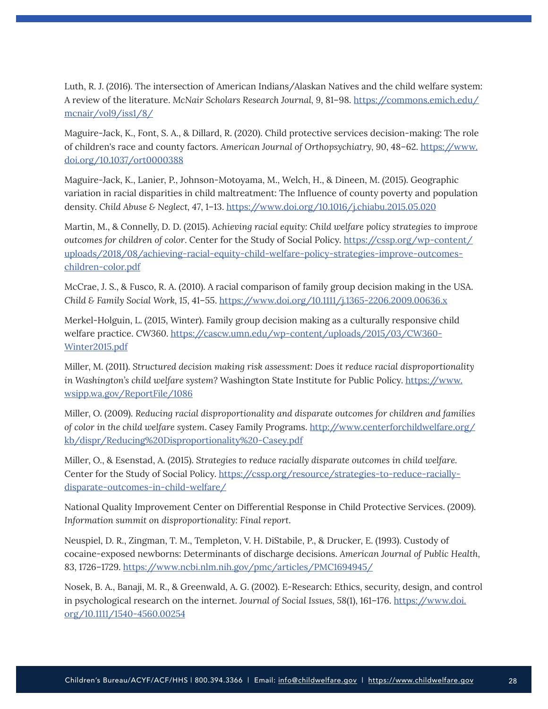Luth, R. J. (2016). The intersection of American Indians/Alaskan Natives and the child welfare system: A review of the literature. *McNair Scholars Research Journal, 9*, 81–98. [https://commons.emich.edu/](https://commons.emich.edu/mcnair/vol9/iss1/8/) [mcnair/vol9/iss1/8/](https://commons.emich.edu/mcnair/vol9/iss1/8/)

Maguire-Jack, K., Font, S. A., & Dillard, R. (2020). Child protective services decision-making: The role of children's race and county factors. *American Journal of Orthopsychiatry, 90*, 48–62. [https://www.](https://www.doi.org/10.1037/ort0000388) [doi.org/10.1037/ort0000388](https://www.doi.org/10.1037/ort0000388)

Maguire-Jack, K., Lanier, P., Johnson-Motoyama, M., Welch, H., & Dineen, M. (2015). Geographic variation in racial disparities in child maltreatment: The Influence of county poverty and population density. *Child Abuse & Neglect, 47*, 1–13.<https://www.doi.org/10.1016/j.chiabu.2015.05.020>

Martin, M., & Connelly, D. D. (2015). *Achieving racial equity: Child welfare policy strategies to improve outcomes for children of color*. Center for the Study of Social Policy. [https://cssp.org/wp-content/](https://cssp.org/wp-content/uploads/2018/08/achieving-racial-equity-child-welfare-policy-strategies-improve-outcomes-children-color.pdf) [uploads/2018/08/achieving-racial-equity-child-welfare-policy-strategies-improve-outcomes](https://cssp.org/wp-content/uploads/2018/08/achieving-racial-equity-child-welfare-policy-strategies-improve-outcomes-children-color.pdf)[children-color.pdf](https://cssp.org/wp-content/uploads/2018/08/achieving-racial-equity-child-welfare-policy-strategies-improve-outcomes-children-color.pdf)

McCrae, J. S., & Fusco, R. A. (2010). A racial comparison of family group decision making in the USA. *Child & Family Social Work, 15*, 41–55.<https://www.doi.org/10.1111/j.1365-2206.2009.00636.x>

Merkel-Holguin, L. (2015, Winter). Family group decision making as a culturally responsive child welfare practice. *CW360*. [https://cascw.umn.edu/wp-content/uploads/2015/03/CW360-](https://cascw.umn.edu/wp-content/uploads/2015/03/CW360-Winter2015.pdf) [Winter2015.pdf](https://cascw.umn.edu/wp-content/uploads/2015/03/CW360-Winter2015.pdf)

Miller, M. (2011). *Structured decision making risk assessment: Does it reduce racial disproportionality in Washington's child welfare system?* Washington State Institute for Public Policy. [https://www.](https://www.wsipp.wa.gov/ReportFile/1086) [wsipp.wa.gov/ReportFile/1086](https://www.wsipp.wa.gov/ReportFile/1086)

Miller, O. (2009). *Reducing racial disproportionality and disparate outcomes for children and families of color in the child welfare system*. Casey Family Programs. [http://www.centerforchildwelfare.org/](http://www.centerforchildwelfare.org/kb/dispr/Reducing%20Disproportionality%20-Casey.pdf) [kb/dispr/Reducing%20Disproportionality%20-Casey.pdf](http://www.centerforchildwelfare.org/kb/dispr/Reducing%20Disproportionality%20-Casey.pdf)

Miller, O., & Esenstad, A. (2015). *Strategies to reduce racially disparate outcomes in child welfare.*  Center for the Study of Social Policy. [https://cssp.org/resource/strategies-to-reduce-racially](https://cssp.org/resource/strategies-to-reduce-racially-disparate-outcomes-in-child-welfare/)[disparate-outcomes-in-child-welfare/](https://cssp.org/resource/strategies-to-reduce-racially-disparate-outcomes-in-child-welfare/)

National Quality Improvement Center on Differential Response in Child Protective Services. (2009). *Information summit on disproportionality: Final report*.

Neuspiel, D. R., Zingman, T. M., Templeton, V. H. DiStabile, P., & Drucker, E. (1993). Custody of cocaine-exposed newborns: Determinants of discharge decisions. *American Journal of Public Health, 83*, 1726–1729. <https://www.ncbi.nlm.nih.gov/pmc/articles/PMC1694945/>

Nosek, B. A., Banaji, M. R., & Greenwald, A. G. (2002). E-Research: Ethics, security, design, and control in psychological research on the internet. *Journal of Social Issues, 58*(1), 161–176. [https://www.doi.](https://www.doi.org/10.1111/1540-4560.00254) [org/10.1111/1540-4560.00254](https://www.doi.org/10.1111/1540-4560.00254)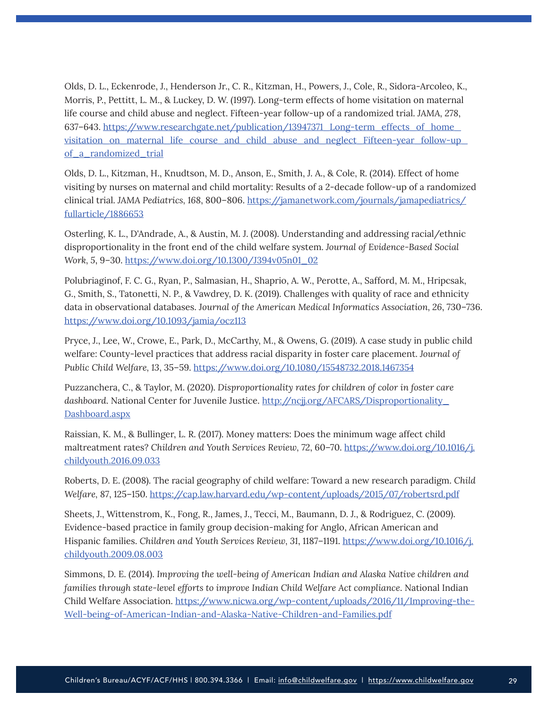Olds, D. L., Eckenrode, J., Henderson Jr., C. R., Kitzman, H., Powers, J., Cole, R., Sidora-Arcoleo, K., Morris, P., Pettitt, L. M., & Luckey, D. W. (1997). Long-term effects of home visitation on maternal life course and child abuse and neglect. Fifteen-year follow-up of a randomized trial. *JAMA, 278*, 637–643. [https://www.researchgate.net/publication/13947371\\_Long-term\\_effects\\_of\\_home\\_](https://www.researchgate.net/publication/13947371_Long-term_effects_of_home_visitation_on_maternal_life_course_and_child_abuse_and_neglect_Fifteen-year_follow-up_of_a_randomized_trial) [visitation\\_on\\_maternal\\_life\\_course\\_and\\_child\\_abuse\\_and\\_neglect\\_Fifteen-year\\_follow-up\\_](https://www.researchgate.net/publication/13947371_Long-term_effects_of_home_visitation_on_maternal_life_course_and_child_abuse_and_neglect_Fifteen-year_follow-up_of_a_randomized_trial) [of\\_a\\_randomized\\_trial](https://www.researchgate.net/publication/13947371_Long-term_effects_of_home_visitation_on_maternal_life_course_and_child_abuse_and_neglect_Fifteen-year_follow-up_of_a_randomized_trial)

Olds, D. L., Kitzman, H., Knudtson, M. D., Anson, E., Smith, J. A., & Cole, R. (2014). Effect of home visiting by nurses on maternal and child mortality: Results of a 2-decade follow-up of a randomized clinical trial. *JAMA Pediatrics, 168*, 800–806. [https://jamanetwork.com/journals/jamapediatrics/](https://jamanetwork.com/journals/jamapediatrics/fullarticle/1886653) [fullarticle/1886653](https://jamanetwork.com/journals/jamapediatrics/fullarticle/1886653)

Osterling, K. L., D'Andrade, A., & Austin, M. J. (2008). Understanding and addressing racial/ethnic disproportionality in the front end of the child welfare system. *Journal of Evidence-Based Social Work, 5*, 9–30. [https://www.doi.org/10.1300/J394v05n01\\_02](https://www.doi.org/10.1300/J394v05n01_02)

Polubriaginof, F. C. G., Ryan, P., Salmasian, H., Shaprio, A. W., Perotte, A., Safford, M. M., Hripcsak, G., Smith, S., Tatonetti, N. P., & Vawdrey, D. K. (2019). Challenges with quality of race and ethnicity data in observational databases. J*ournal of the American Medical Informatics Association, 26*, 730–736. <https://www.doi.org/10.1093/jamia/ocz113>

Pryce, J., Lee, W., Crowe, E., Park, D., McCarthy, M., & Owens, G. (2019). A case study in public child welfare: County-level practices that address racial disparity in foster care placement. *Journal of Public Child Welfare, 13*, 35–59.<https://www.doi.org/10.1080/15548732.2018.1467354>

Puzzanchera, C., & Taylor, M. (2020). *Disproportionality rates for children of color in foster care dashboard*. National Center for Juvenile Justice. [http://ncjj.org/AFCARS/Disproportionality\\_](http://ncjj.org/AFCARS/Disproportionality_Dashboard.aspx) [Dashboard.aspx](http://ncjj.org/AFCARS/Disproportionality_Dashboard.aspx)

Raissian, K. M., & Bullinger, L. R. (2017). Money matters: Does the minimum wage affect child maltreatment rates? *Children and Youth Services Review, 72*, 60–70. [https://www.doi.org/10.1016/j.](https://www.doi.org/10.1016/j.childyouth.2016.09.033) [childyouth.2016.09.033](https://www.doi.org/10.1016/j.childyouth.2016.09.033)

Roberts, D. E. (2008). The racial geography of child welfare: Toward a new research paradigm. *Child Welfare, 87*, 125–150.<https://cap.law.harvard.edu/wp-content/uploads/2015/07/robertsrd.pdf>

Sheets, J., Wittenstrom, K., Fong, R., James, J., Tecci, M., Baumann, D. J., & Rodriguez, C. (2009). Evidence-based practice in family group decision-making for Anglo, African American and Hispanic families. *Children and Youth Services Review, 31*, 1187–1191. [https://www.doi.org/10.1016/j.](https://www.doi.org/10.1016/j.childyouth.2009.08.003) [childyouth.2009.08.003](https://www.doi.org/10.1016/j.childyouth.2009.08.003)

Simmons, D. E. (2014). *Improving the well-being of American Indian and Alaska Native children and families through state-level efforts to improve Indian Child Welfare Act compliance*. National Indian Child Welfare Association. [https://www.nicwa.org/wp-content/uploads/2016/11/Improving-the-](https://www.nicwa.org/wp-content/uploads/2016/11/Improving-the-Well-being-of-American-Indian-and-Alaska-Native-Children-and-Families.pdf)[Well-being-of-American-Indian-and-Alaska-Native-Children-and-Families.pdf](https://www.nicwa.org/wp-content/uploads/2016/11/Improving-the-Well-being-of-American-Indian-and-Alaska-Native-Children-and-Families.pdf)